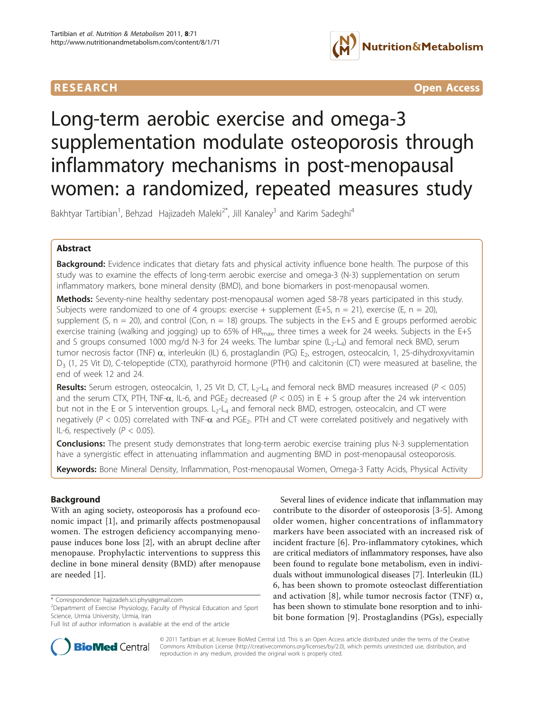

**RESEARCH CONTROL** CONTROL CONTROL CONTROL CONTROL CONTROL CONTROL CONTROL CONTROL CONTROL CONTROL CONTROL CONTROL CONTROL CONTROL CONTROL CONTROL CONTROL CONTROL CONTROL CONTROL CONTROL CONTROL CONTROL CONTROL CONTROL CON

# Long-term aerobic exercise and omega-3 supplementation modulate osteoporosis through inflammatory mechanisms in post-menopausal women: a randomized, repeated measures study

Bakhtyar Tartibian<sup>1</sup>, Behzad Hajizadeh Maleki<sup>2\*</sup>, Jill Kanaley<sup>3</sup> and Karim Sadeghi<sup>4</sup>

# Abstract

**Background:** Evidence indicates that dietary fats and physical activity influence bone health. The purpose of this study was to examine the effects of long-term aerobic exercise and omega-3 (N-3) supplementation on serum inflammatory markers, bone mineral density (BMD), and bone biomarkers in post-menopausal women.

Methods: Seventy-nine healthy sedentary post-menopausal women aged 58-78 years participated in this study. Subjects were randomized to one of 4 groups: exercise + supplement (E+S,  $n = 21$ ), exercise (E,  $n = 20$ ), supplement (S,  $n = 20$ ), and control (Con,  $n = 18$ ) groups. The subjects in the E+S and E groups performed aerobic exercise training (walking and jogging) up to 65% of  $HR_{max}$ , three times a week for 24 weeks. Subjects in the E+S and S groups consumed 1000 mg/d N-3 for 24 weeks. The lumbar spine  $(L_2-L_4)$  and femoral neck BMD, serum tumor necrosis factor (TNF)  $\alpha$ , interleukin (IL) 6, prostaglandin (PG) E<sub>2</sub>, estrogen, osteocalcin, 1, 25-dihydroxyvitamin D<sub>3</sub> (1, 25 Vit D), C-telopeptide (CTX), parathyroid hormone (PTH) and calcitonin (CT) were measured at baseline, the end of week 12 and 24.

**Results:** Serum estrogen, osteocalcin, 1, 25 Vit D, CT, L<sub>2</sub>-L<sub>4</sub> and femoral neck BMD measures increased ( $P < 0.05$ ) and the serum CTX, PTH, TNF- $\alpha$ , IL-6, and PGE<sub>2</sub> decreased ( $P < 0.05$ ) in E + S group after the 24 wk intervention but not in the E or S intervention groups.  $L_2$ - $L_4$  and femoral neck BMD, estrogen, osteocalcin, and CT were negatively ( $P < 0.05$ ) correlated with TNF- $\alpha$  and PGE<sub>2</sub>. PTH and CT were correlated positively and negatively with IL-6, respectively  $(P < 0.05)$ .

Conclusions: The present study demonstrates that long-term aerobic exercise training plus N-3 supplementation have a synergistic effect in attenuating inflammation and augmenting BMD in post-menopausal osteoporosis.

Keywords: Bone Mineral Density, Inflammation, Post-menopausal Women, Omega-3 Fatty Acids, Physical Activity

# Background

With an aging society, osteoporosis has a profound economic impact [[1\]](#page-11-0), and primarily affects postmenopausal women. The estrogen deficiency accompanying menopause induces bone loss [\[2](#page-11-0)], with an abrupt decline after menopause. Prophylactic interventions to suppress this decline in bone mineral density (BMD) after menopause are needed [[1\]](#page-11-0).

Several lines of evidence indicate that inflammation may contribute to the disorder of osteoporosis [[3-5](#page-11-0)]. Among older women, higher concentrations of inflammatory markers have been associated with an increased risk of incident fracture [[6\]](#page-11-0). Pro-inflammatory cytokines, which are critical mediators of inflammatory responses, have also been found to regulate bone metabolism, even in individuals without immunological diseases [\[7](#page-11-0)]. Interleukin (IL) 6, has been shown to promote osteoclast differentiation and activation [[8\]](#page-11-0), while tumor necrosis factor (TNF)  $\alpha$ , has been shown to stimulate bone resorption and to inhibit bone formation [[9](#page-11-0)]. Prostaglandins (PGs), especially



© 2011 Tartibian et al; licensee BioMed Central Ltd. This is an Open Access article distributed under the terms of the Creative Commons Attribution License [\(http://creativecommons.org/licenses/by/2.0](http://creativecommons.org/licenses/by/2.0)), which permits unrestricted use, distribution, and reproduction in any medium, provided the original work is properly cited.

<sup>\*</sup> Correspondence: [hajizadeh.sci.phys@gmail.com](mailto:hajizadeh.sci.phys@gmail.com)

<sup>&</sup>lt;sup>2</sup> Department of Exercise Physiology, Faculty of Physical Education and Sport Science, Urmia University, Urmia, Iran

Full list of author information is available at the end of the article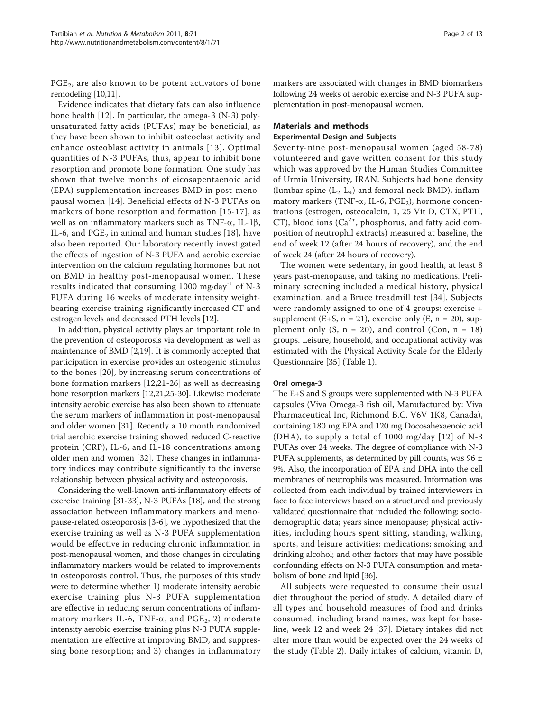$PGE<sub>2</sub>$ , are also known to be potent activators of bone remodeling [\[10,11\]](#page-11-0).

Evidence indicates that dietary fats can also influence bone health [\[12](#page-11-0)]. In particular, the omega-3 (N-3) polyunsaturated fatty acids (PUFAs) may be beneficial, as they have been shown to inhibit osteoclast activity and enhance osteoblast activity in animals [[13\]](#page-11-0). Optimal quantities of N-3 PUFAs, thus, appear to inhibit bone resorption and promote bone formation. One study has shown that twelve months of eicosapentaenoic acid (EPA) supplementation increases BMD in post-menopausal women [[14\]](#page-11-0). Beneficial effects of N-3 PUFAs on markers of bone resorption and formation [[15-17](#page-11-0)], as well as on inflammatory markers such as TNF- $\alpha$ , IL-1 $\beta$ , IL-6, and  $PGE<sub>2</sub>$  in animal and human studies [[18\]](#page-11-0), have also been reported. Our laboratory recently investigated the effects of ingestion of N-3 PUFA and aerobic exercise intervention on the calcium regulating hormones but not on BMD in healthy post-menopausal women. These results indicated that consuming 1000 mg·day-1 of N-3 PUFA during 16 weeks of moderate intensity weightbearing exercise training significantly increased CT and estrogen levels and decreased PTH levels [[12\]](#page-11-0).

In addition, physical activity plays an important role in the prevention of osteoporosis via development as well as maintenance of BMD [\[2,19\]](#page-11-0). It is commonly accepted that participation in exercise provides an osteogenic stimulus to the bones [\[20](#page-11-0)], by increasing serum concentrations of bone formation markers [\[12](#page-11-0),[21](#page-11-0)-[26\]](#page-11-0) as well as decreasing bone resorption markers [\[12,21,25-30\]](#page-11-0). Likewise moderate intensity aerobic exercise has also been shown to attenuate the serum markers of inflammation in post-menopausal and older women [[31\]](#page-11-0). Recently a 10 month randomized trial aerobic exercise training showed reduced C-reactive protein (CRP), IL-6, and IL-18 concentrations among older men and women [[32\]](#page-11-0). These changes in inflammatory indices may contribute significantly to the inverse relationship between physical activity and osteoporosis.

Considering the well-known anti-inflammatory effects of exercise training [\[31](#page-11-0)-[33](#page-11-0)], N-3 PUFAs [[18](#page-11-0)], and the strong association between inflammatory markers and menopause-related osteoporosis [\[3-6](#page-11-0)], we hypothesized that the exercise training as well as N-3 PUFA supplementation would be effective in reducing chronic inflammation in post-menopausal women, and those changes in circulating inflammatory markers would be related to improvements in osteoporosis control. Thus, the purposes of this study were to determine whether 1) moderate intensity aerobic exercise training plus N-3 PUFA supplementation are effective in reducing serum concentrations of inflammatory markers IL-6, TNF- $\alpha$ , and PGE<sub>2</sub>, 2) moderate intensity aerobic exercise training plus N-3 PUFA supplementation are effective at improving BMD, and suppressing bone resorption; and 3) changes in inflammatory

markers are associated with changes in BMD biomarkers following 24 weeks of aerobic exercise and N-3 PUFA supplementation in post-menopausal women.

# Materials and methods

# Experimental Design and Subjects

Seventy-nine post-menopausal women (aged 58-78) volunteered and gave written consent for this study which was approved by the Human Studies Committee of Urmia University, IRAN. Subjects had bone density (lumbar spine  $(L_2-L_4)$  and femoral neck BMD), inflammatory markers (TNF- $\alpha$ , IL-6, PGE<sub>2</sub>), hormone concentrations (estrogen, osteocalcin, 1, 25 Vit D, CTX, PTH, CT), blood ions  $(Ca^{2+})$ , phosphorus, and fatty acid composition of neutrophil extracts) measured at baseline, the end of week 12 (after 24 hours of recovery), and the end of week 24 (after 24 hours of recovery).

The women were sedentary, in good health, at least 8 years past-menopause, and taking no medications. Preliminary screening included a medical history, physical examination, and a Bruce treadmill test [[34\]](#page-11-0). Subjects were randomly assigned to one of 4 groups: exercise + supplement (E+S,  $n = 21$ ), exercise only (E,  $n = 20$ ), supplement only  $(S, n = 20)$ , and control  $(Con, n = 18)$ groups. Leisure, household, and occupational activity was estimated with the Physical Activity Scale for the Elderly Questionnaire [[35](#page-11-0)] (Table [1](#page-2-0)).

# Oral omega-3

The E+S and S groups were supplemented with N-3 PUFA capsules (Viva Omega-3 fish oil, Manufactured by: Viva Pharmaceutical Inc, Richmond B.C. V6V 1K8, Canada), containing 180 mg EPA and 120 mg Docosahexaenoic acid (DHA), to supply a total of 1000 mg/day [\[12\]](#page-11-0) of N-3 PUFAs over 24 weeks. The degree of compliance with N-3 PUFA supplements, as determined by pill counts, was  $96 \pm$ 9%. Also, the incorporation of EPA and DHA into the cell membranes of neutrophils was measured. Information was collected from each individual by trained interviewers in face to face interviews based on a structured and previously validated questionnaire that included the following: sociodemographic data; years since menopause; physical activities, including hours spent sitting, standing, walking, sports, and leisure activities; medications; smoking and drinking alcohol; and other factors that may have possible confounding effects on N-3 PUFA consumption and metabolism of bone and lipid [\[36\]](#page-11-0).

All subjects were requested to consume their usual diet throughout the period of study. A detailed diary of all types and household measures of food and drinks consumed, including brand names, was kept for baseline, week 12 and week 24 [[37\]](#page-11-0). Dietary intakes did not alter more than would be expected over the 24 weeks of the study (Table [2\)](#page-2-0). Daily intakes of calcium, vitamin D,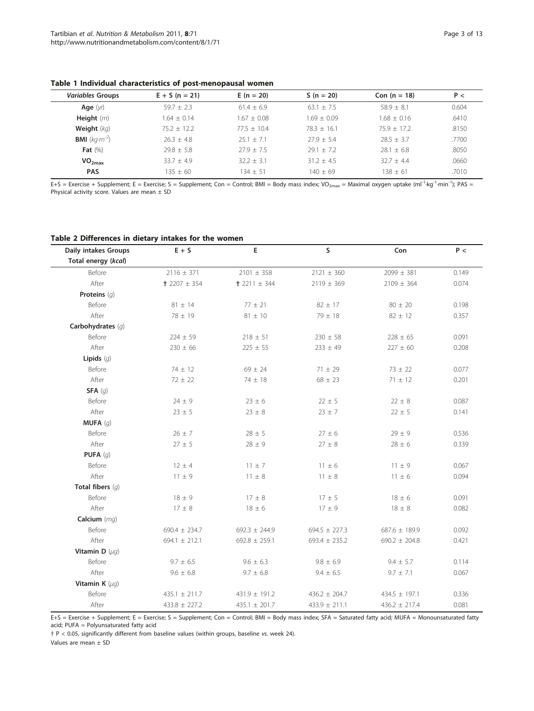# <span id="page-2-0"></span>Table 1 Individual characteristics of post-menopausal women

| $E + S (n = 21)$ | $E(n = 20)$   | $S(n = 20)$   | Con $(n = 18)$ | P<    |
|------------------|---------------|---------------|----------------|-------|
| $59.7 + 2.3$     | $61.4 + 6.9$  | $63.1 + 7.5$  | $58.9 + 8.1$   | 0.604 |
| $1.64 + 0.14$    | $1.67 + 0.08$ | $1.69 + 0.09$ | $1.68 + 0.16$  | .6410 |
| $75.2 + 12.2$    | $77.5 + 10.4$ | $78.3 + 16.1$ | $75.9 + 17.2$  | .8150 |
| $26.3 + 4.8$     | $25.1 + 7.1$  | $77.9 + 5.4$  | $28.5 + 3.7$   | .7700 |
| $79.8 + 5.8$     | $27.9 + 7.5$  | $79.1 + 7.2$  | $28.1 + 6.8$   | .8050 |
| $33.7 + 4.9$     | $32.2 + 3.1$  | $31.2 + 4.5$  | $32.7 + 4.4$   | .0660 |
| $135 + 60$       | $134 + 51$    | $140 + 69$    | 138 + 61       | .7010 |
|                  |               |               |                |       |

E+S = Exercise + Supplement; E = Exercise; S = Supplement; Con = Control; BMI = Body mass index; VO<sub>2max</sub> = Maximal oxygen uptake (ml<sup>-1</sup>·kg<sup>-1</sup>·min<sup>-1</sup>); PAS = Physical activity score. Values are mean  $\pm$  SD

# Table 2 Differences in dietary intakes for the women

| Daily intakes Groups | $E + S$           | E                 | S                 | Con               | P <   |
|----------------------|-------------------|-------------------|-------------------|-------------------|-------|
| Total energy (kcal)  |                   |                   |                   |                   |       |
| Before               | $2116 \pm 371$    | $2101 \pm 358$    | $2121 \pm 360$    | $2099 \pm 381$    | 0.149 |
| After                | $+2207 \pm 354$   | $+2211 \pm 344$   | $2119 \pm 369$    | $2109 \pm 364$    | 0.074 |
| Proteins $(q)$       |                   |                   |                   |                   |       |
| Before               | $81 \pm 14$       | $77 \pm 21$       | $82 \pm 17$       | $80 \pm 20$       | 0.198 |
| After                | 78 ± 19           | $81 \pm 10$       | $79 \pm 18$       | $82 \pm 12$       | 0.357 |
| Carbohydrates (q)    |                   |                   |                   |                   |       |
| Before               | $224 \pm 59$      | $218 \pm 51$      | $230 \pm 58$      | $228 \pm 65$      | 0.091 |
| After                | $230 \pm 66$      | $225 \pm 55$      | $233 \pm 49$      | $227 \pm 60$      | 0.208 |
| Lipids $(g)$         |                   |                   |                   |                   |       |
| Before               | $74 \pm 12$       | $69 \pm 24$       | $71 \pm 29$       | $73 \pm 22$       | 0.077 |
| After                | $72 \pm 22$       | $74 \pm 18$       | $68 \pm 23$       | $71 \pm 12$       | 0.201 |
| <b>SFA</b> $(g)$     |                   |                   |                   |                   |       |
| Before               | $24 \pm 9$        | $23 \pm 6$        | $22 \pm 5$        | $22 \pm 8$        | 0.087 |
| After                | $23 \pm 5$        | $23 \pm 8$        | $23 \pm 7$        | $22 \pm 5$        | 0.141 |
| <b>MUFA</b> $(g)$    |                   |                   |                   |                   |       |
| Before               | $26\pm7$          | $28 \pm 5$        | $27\pm6$          | $29\pm9$          | 0.536 |
| After                | $27 \pm 5$        | $28 \pm 9$        | $27 \pm 8$        | $28 \pm 6$        | 0.339 |
| PUFA $(g)$           |                   |                   |                   |                   |       |
| Before               | $12 \pm 4$        | $11 \pm 7$        | $11 \pm 6$        | $11 \pm 9$        | 0.067 |
| After                | $11 \pm 9$        | $11 \pm 8$        | $11 \pm 8$        | $11 \pm 6$        | 0.094 |
| Total fibers $(q)$   |                   |                   |                   |                   |       |
| Before               | $18 \pm 9$        | $17 \pm 8$        | $17 \pm 5$        | $18 \pm 6$        | 0.091 |
| After                | $17 \pm 8$        | $18 \pm 6$        | $17 \pm 9$        | $18 \pm 8$        | 0.082 |
| Calcium $(mq)$       |                   |                   |                   |                   |       |
| Before               | $690.4 \pm 234.7$ | $692.3 \pm 244.9$ | $694.5 \pm 227.3$ | $687.6 \pm 189.9$ | 0.092 |
| After                | $694.1 \pm 212.1$ | $692.8 \pm 259.1$ | $693.4 \pm 235.2$ | $690.2 \pm 204.8$ | 0.421 |
| Vitamin D $(\mu q)$  |                   |                   |                   |                   |       |
| Before               | $9.7 \pm 6.5$     | $9.6 \pm 6.3$     | $9.8 \pm 6.9$     | $9.4 \pm 5.7$     | 0.114 |
| After                | $9.6 \pm 6.8$     | $9.7 \pm 6.8$     | $9.4 \pm 6.5$     | $9.7 \pm 7.1$     | 0.067 |
| Vitamin K $(\mu q)$  |                   |                   |                   |                   |       |
| Before               | $435.1 \pm 211.7$ | 431.9 ± 191.2     | $436.2 \pm 204.7$ | 434.5 ± 197.1     | 0.336 |
| After                | $433.8 \pm 227.2$ | 435.1 $\pm$ 201.7 | $433.9 \pm 211.1$ | $436.2 \pm 217.4$ | 0.081 |

E+S = Exercise + Supplement; E = Exercise; S = Supplement; Con = Control; BMI = Body mass index; SFA = Saturated fatty acid; MUFA = Monounsaturated fatty acid; PUFA = Polyunsaturated fatty acid

† P < 0.05, significantly different from baseline values (within groups, baseline vs. week 24).

Values are mean ± SD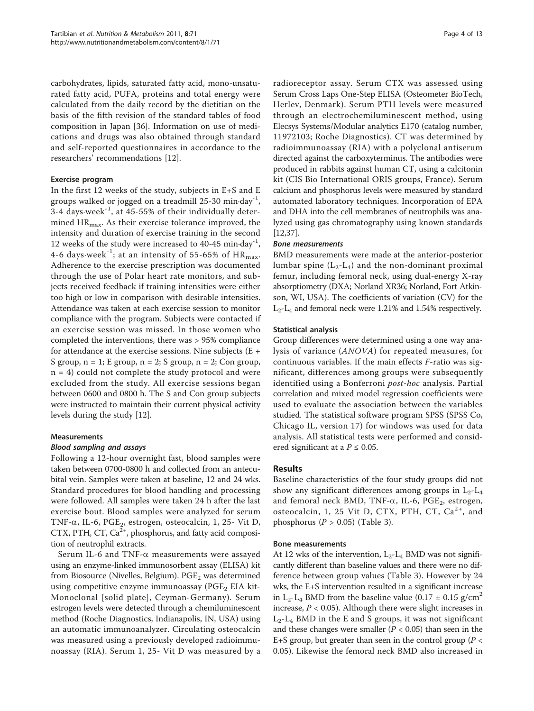carbohydrates, lipids, saturated fatty acid, mono-unsaturated fatty acid, PUFA, proteins and total energy were calculated from the daily record by the dietitian on the basis of the fifth revision of the standard tables of food composition in Japan [[36\]](#page-11-0). Information on use of medications and drugs was also obtained through standard and self-reported questionnaires in accordance to the researchers' recommendations [[12\]](#page-11-0).

# Exercise program

In the first 12 weeks of the study, subjects in E+S and E groups walked or jogged on a treadmill  $25-30$  min·day<sup>-1</sup>, 3-4 days $\cdot$ week<sup>-1</sup>, at 45-55% of their individually determined HR<sub>max</sub>. As their exercise tolerance improved, the intensity and duration of exercise training in the second 12 weeks of the study were increased to 40-45 min $\cdot$ day<sup>-1</sup>, 4-6 days week<sup>-1</sup>; at an intensity of 55-65% of  $HR_{\text{max}}$ . Adherence to the exercise prescription was documented through the use of Polar heart rate monitors, and subjects received feedback if training intensities were either too high or low in comparison with desirable intensities. Attendance was taken at each exercise session to monitor compliance with the program. Subjects were contacted if an exercise session was missed. In those women who completed the interventions, there was > 95% compliance for attendance at the exercise sessions. Nine subjects (E + S group,  $n = 1$ ; E group,  $n = 2$ ; S group,  $n = 2$ ; Con group,  $n = 4$ ) could not complete the study protocol and were excluded from the study. All exercise sessions began between 0600 and 0800 h. The S and Con group subjects were instructed to maintain their current physical activity levels during the study [\[12\]](#page-11-0).

# Measurements

# Blood sampling and assays

Following a 12-hour overnight fast, blood samples were taken between 0700-0800 h and collected from an antecubital vein. Samples were taken at baseline, 12 and 24 wks. Standard procedures for blood handling and processing were followed. All samples were taken 24 h after the last exercise bout. Blood samples were analyzed for serum TNF- $\alpha$ , IL-6, PGE<sub>2</sub>, estrogen, osteocalcin, 1, 25- Vit D, CTX, PTH, CT,  $Ca^{2+}$ , phosphorus, and fatty acid composition of neutrophil extracts.

Serum IL-6 and TNF- $\alpha$  measurements were assayed using an enzyme-linked immunosorbent assay (ELISA) kit from Biosource (Nivelles, Belgium).  $PGE<sub>2</sub>$  was determined using competitive enzyme immunoassay ( $PGE_2$  EIA kit-Monoclonal [solid plate], Ceyman-Germany). Serum estrogen levels were detected through a chemiluminescent method (Roche Diagnostics, Indianapolis, IN, USA) using an automatic immunoanalyzer. Circulating osteocalcin was measured using a previously developed radioimmunoassay (RIA). Serum 1, 25- Vit D was measured by a radioreceptor assay. Serum CTX was assessed using Serum Cross Laps One-Step ELISA (Osteometer BioTech, Herlev, Denmark). Serum PTH levels were measured through an electrochemiluminescent method, using Elecsys Systems/Modular analytics E170 (catalog number, 11972103; Roche Diagnostics). CT was determined by radioimmunoassay (RIA) with a polyclonal antiserum directed against the carboxyterminus. The antibodies were produced in rabbits against human CT, using a calcitonin kit (CIS Bio International ORIS groups, France). Serum calcium and phosphorus levels were measured by standard automated laboratory techniques. Incorporation of EPA and DHA into the cell membranes of neutrophils was analyzed using gas chromatography using known standards [[12,37\]](#page-11-0).

# Bone measurements

BMD measurements were made at the anterior-posterior lumbar spine  $(L_2-L_4)$  and the non-dominant proximal femur, including femoral neck, using dual-energy X-ray absorptiometry (DXA; Norland XR36; Norland, Fort Atkinson, WI, USA). The coefficients of variation (CV) for the L2-L4 and femoral neck were 1.21% and 1.54% respectively.

# Statistical analysis

Group differences were determined using a one way analysis of variance (ANOVA) for repeated measures, for continuous variables. If the main effects F-ratio was significant, differences among groups were subsequently identified using a Bonferroni *post-hoc* analysis. Partial correlation and mixed model regression coefficients were used to evaluate the association between the variables studied. The statistical software program SPSS (SPSS Co, Chicago IL, version 17) for windows was used for data analysis. All statistical tests were performed and considered significant at a  $P \leq 0.05$ .

# Results

Baseline characteristics of the four study groups did not show any significant differences among groups in  $L_2-L_4$ and femoral neck BMD, TNF- $\alpha$ , IL-6, PGE<sub>2</sub>, estrogen, osteocalcin, 1, 25 Vit D, CTX, PTH, CT,  $Ca^{2+}$ , and phosphorus ( $P > 0.05$ ) (Table [3](#page-4-0)).

# Bone measurements

At 12 wks of the intervention,  $L_2$ - $L_4$  BMD was not significantly different than baseline values and there were no difference between group values (Table [3\)](#page-4-0). However by 24 wks, the E+S intervention resulted in a significant increase in L<sub>2</sub>-L<sub>4</sub> BMD from the baseline value (0.17  $\pm$  0.15 g/cm<sup>2</sup> increase,  $P < 0.05$ ). Although there were slight increases in L2-L4 BMD in the E and S groups, it was not significant and these changes were smaller ( $P < 0.05$ ) than seen in the E+S group, but greater than seen in the control group ( $P <$ 0.05). Likewise the femoral neck BMD also increased in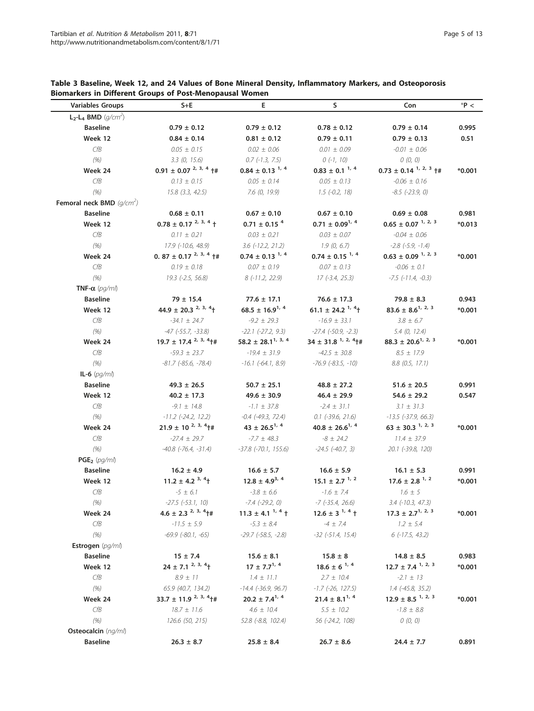| Variables Groups               | $S+E$                                       | Е.                                 | S                               | Con                               | $*P <$   |
|--------------------------------|---------------------------------------------|------------------------------------|---------------------------------|-----------------------------------|----------|
| $L_2$ - $L_4$ BMD ( $q/cm^2$ ) |                                             |                                    |                                 |                                   |          |
| <b>Baseline</b>                | $0.79 \pm 0.12$                             | $0.79 \pm 0.12$                    | $0.78 \pm 0.12$                 | $0.79 \pm 0.14$                   | 0.995    |
| Week 12                        | $0.84 \pm 0.14$                             | $0.81 \pm 0.12$                    | $0.79 \pm 0.11$                 | $0.79 \pm 0.13$                   | 0.51     |
| CfB                            | $0.05 \pm 0.15$                             | $0.02 \pm 0.06$                    | $0.01 \pm 0.09$                 | $-0.01 \pm 0.06$                  |          |
| (% )                           | 3.3(0, 15.6)                                | $0.7$ (-1.3, 7.5)                  | $0(-1, 10)$                     | O(0, 0)                           |          |
| Week 24                        | $0.91 \pm 0.07^{2, 3, 4}$ +#                | $0.84 \pm 0.13^{1,4}$              | $0.83 \pm 0.1^{1,4}$            | $0.73 \pm 0.14^{1,2,3}$ +#        | $*0.001$ |
| CfB                            | $0.13 \pm 0.15$                             | $0.05 \pm 0.14$                    | $0.05 \pm 0.13$                 | $-0.06 \pm 0.16$                  |          |
| (% )                           | $15.8$ $(3.3, 42.5)$                        | 7.6(0, 19.9)                       | $1.5$ (-0.2, 18)                | $-8.5$ $(-23.9, 0)$               |          |
| Femoral neck BMD $(q/cm^2)$    |                                             |                                    |                                 |                                   |          |
| <b>Baseline</b>                | $0.68 \pm 0.11$                             | $0.67 \pm 0.10$                    | $0.67 \pm 0.10$                 | $0.69 \pm 0.08$                   | 0.981    |
| Week 12                        | $0.78 \pm 0.17^{2, 3, 4}$ +                 | $0.71 \pm 0.15$ <sup>4</sup>       | $0.71 \pm 0.09^{1/4}$           | $0.65 \pm 0.07^{1,2,3}$           | $*0.013$ |
| CfB                            | $0.11 \pm 0.21$                             | $0.03 \pm 0.21$                    | $0.03 \pm 0.07$                 | $-0.04 \pm 0.06$                  |          |
| (% )                           | 17.9 (-10.6, 48.9)                          | $3.6$ ( $-12.2$ , $21.2$ )         | 1.9(0, 6.7)                     | $-2.8$ $(-5.9, -1.4)$             |          |
| Week 24                        | 0. 87 $\pm$ 0.17 <sup>2, 3, 4</sup> $\pm$ # | $0.74 \pm 0.13^{1,4}$              | $0.74 \pm 0.15$ <sup>1, 4</sup> | $0.63 \pm 0.09^{1,2,3}$           | $*0.001$ |
| CfB                            | $0.19 \pm 0.18$                             | $0.07 \pm 0.19$                    | $0.07 \pm 0.13$                 | $-0.06 \pm 0.1$                   |          |
| (% )                           | $19.3$ (-2.5, 56.8)                         | $8(-11.2, 22.9)$                   | 17 (-3.4, 25.3)                 | $-7.5$ ( $-11.4$ , $-0.3$ )       |          |
| TNF- $\alpha$ (pq/ml)          |                                             |                                    |                                 |                                   |          |
| <b>Baseline</b>                | $79 \pm 15.4$                               | $77.6 \pm 17.1$                    | $76.6 \pm 17.3$                 | $79.8 \pm 8.3$                    | 0.943    |
| Week 12                        | 44.9 ± 20.3 $^{2, 3, 4}$ +                  | $68.5 \pm 16.9^{1/4}$              | 61.1 ± 24.2 $\frac{1}{4}$       | $83.6 \pm 8.6^{1,2,3}$            | $*0.001$ |
| CfB                            | $-34.1 \pm 24.7$                            | $-9.2 \pm 29.3$                    | $-16.9 \pm 33.1$                | $3.8 \pm 6.7$                     |          |
| (% )                           | $-47$ ( $-55.7$ , $-33.8$ )                 | $-22.1$ $(-27.2, 9.3)$             | $-27.4$ $(-50.9, -2.3)$         | 5.4(0, 12.4)                      |          |
| Week 24                        | $19.7 \pm 17.4^{2,3,4}$ <sup>+#</sup>       | 58.2 $\pm$ 28.1 <sup>1, 3, 4</sup> | $34 \pm 31.8^{1,2,4}$           | $88.3 \pm 20.6^{1/2.3}$           | $*0.001$ |
| CfB                            | $-59.3 \pm 23.7$                            | $-19.4 \pm 31.9$                   | $-42.5 \pm 30.8$                | $8.5 \pm 17.9$                    |          |
| (% )                           | $-81.7$ ( $-85.6$ , $-78.4$ )               | $-16.1$ ( $-64.1$ , 8.9)           | $-76.9$ ( $-83.5$ , $-10$ )     | $8.8$ (0.5, 17.1)                 |          |
| <b>IL-6</b> ( <i>pg/ml</i> )   |                                             |                                    |                                 |                                   |          |
| <b>Baseline</b>                | $49.3 \pm 26.5$                             | $50.7 \pm 25.1$                    | $48.8 \pm 27.2$                 | $51.6 \pm 20.5$                   | 0.991    |
| Week 12                        | $40.2 \pm 17.3$                             | $49.6 \pm 30.9$                    | $46.4 \pm 29.9$                 | $54.6 \pm 29.2$                   | 0.547    |
| CfB                            | $-9.1 \pm 14.8$                             | $-1.1 \pm 37.8$                    | $-2.4 \pm 31.1$                 | $3.1 \pm 31.3$                    |          |
| (% )                           | $-11.2$ ( $-24.2$ , 12.2)                   | $-0.4$ $(-49.3, 72.4)$             | $0.1$ (-39.6, 21.6)             | $-13.5$ ( $-37.9$ , 66.3)         |          |
| Week 24                        | $21.9 \pm 10^{2,3,4}$ +#                    | $43 \pm 26.5^{1/4}$                | $40.8 \pm 26.6^{1/4}$           | $63 \pm 30.3^{1,2,3}$             | $*0.001$ |
| CfB                            | $-27.4 \pm 29.7$                            | $-7.7 \pm 48.3$                    | $-8 \pm 24.2$                   | $11.4 \pm 37.9$                   |          |
| (% )                           | $-40.8$ ( $-76.4$ , $-31.4$ )               | $-37.8$ $(-70.1, 155.6)$           | $-24.5$ $(-40.7, 3)$            | 20.1 (-39.8, 120)                 |          |
| $PGE_2$ (pg/ml)                |                                             |                                    |                                 |                                   |          |
| <b>Baseline</b>                | $16.2 \pm 4.9$                              | $16.6 \pm 5.7$                     | $16.6 \pm 5.9$                  | $16.1 \pm 5.3$                    | 0.991    |
| Week 12                        | 11.2 ± 4.2 $3, 4$ +                         | $12.8 \pm 4.9^{3,4}$               | $15.1 \pm 2.7$ <sup>1, 2</sup>  | $17.6 \pm 2.8$ <sup>1, 2</sup>    | $*0.001$ |
| CfB                            | $-5 \pm 6.1$                                | $-3.8 \pm 6.6$                     | $-1.6 \pm 7.4$                  | $1.6 \pm 5$                       |          |
| (% )                           | $-27.5$ $(-53.1, 10)$                       | $-7.4$ $(-29.2, 0)$                | $-7$ ( $-35.4$ , $26.6$ )       | $3.4$ ( $-10.3$ , $47.3$ )        |          |
| Week 24                        | $4.6 \pm 2.3^{2,3,4}$ +#                    | $11.3 \pm 4.1^{1,4}$ +             | $12.6 \pm 3^{1,4}$ †            | $17.3 \pm 2.7^{1,2,3}$            | $*0.001$ |
| CfB                            | $-11.5 \pm 5.9$                             | $-5.3 \pm 8.4$                     | $-4 \pm 7.4$                    | $1.2 \pm 5.4$                     |          |
| (% )                           | $-69.9$ $(-80.1, -65)$                      | $-29.7$ ( $-58.5$ , $-2.8$ )       | $-32$ ( $-51.4$ , $15.4$ )      | $6$ (-17.5, 43.2)                 |          |
| Estrogen (pg/ml)               |                                             |                                    |                                 |                                   |          |
| <b>Baseline</b>                | $15 \pm 7.4$                                | $15.6 \pm 8.1$                     | $15.8 \pm 8$                    | $14.8 \pm 8.5$                    | 0.983    |
| Week 12                        | $24 \pm 7.1^{2,3,4}$                        | $17 \pm 7.7^{1/4}$                 | $18.6 \pm 6^{1/4}$              | $12.7 \pm 7.4$ <sup>1, 2, 3</sup> | $*0.001$ |
| CfB                            | $8.9 \pm 11$                                | $1.4 \pm 11.1$                     | $2.7 \pm 10.4$                  | $-2.1 \pm 13$                     |          |
| (% )                           | 65.9 (40.7, 134.2)                          | $-14.4$ ( $-36.9$ , $96.7$ )       | $-1.7$ ( $-26$ , $127.5$ )      | 1.4 (-45.8, 35.2)                 |          |
| Week 24                        | 33.7 ± 11.9 $^{2, 3, 4}$ +#                 | $20.2 \pm 7.4^{1/4}$               | $21.4 \pm 8.1^{1/4}$            | $12.9 \pm 8.5$ <sup>1, 2, 3</sup> | $*0.001$ |
| CfB                            | $18.7 \pm 11.6$                             | $4.6 \pm 10.4$                     | $5.5 \pm 10.2$                  | $-1.8\,\pm\,8.8$                  |          |
| (% )                           | 126.6 (50, 215)                             | 52.8 (-8.8, 102.4)                 | 56 (-24.2, 108)                 | O(0, 0)                           |          |
| Osteocalcin (ng/ml)            |                                             |                                    |                                 |                                   |          |
| <b>Baseline</b>                | $26.3 \pm 8.7$                              | $25.8 \pm 8.4$                     | $26.7 \pm 8.6$                  | $24.4 \pm 7.7$                    | 0.891    |

# <span id="page-4-0"></span>Table 3 Baseline, Week 12, and 24 Values of Bone Mineral Density, Inflammatory Markers, and Osteoporosis Biomarkers in Different Groups of Post-Menopausal Women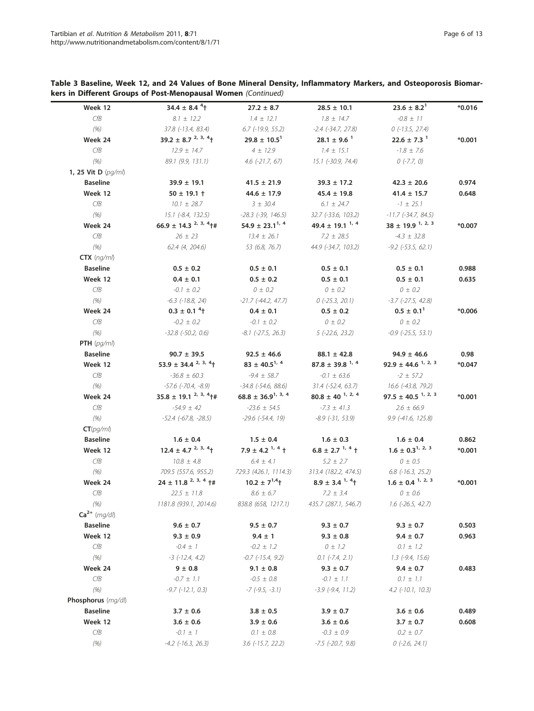| Week 12                              | 34.4 $\pm$ 8.4 <sup>4</sup> <sup>+</sup> | $27.2 \pm 8.7$                  | $28.5 \pm 10.1$                  | $23.6 \pm 8.2^1$                   | $*0.016$       |
|--------------------------------------|------------------------------------------|---------------------------------|----------------------------------|------------------------------------|----------------|
| CfB                                  | $8.1 \pm 12.2$                           | $1.4 \pm 12.1$                  | $1.8 \pm 14.7$                   | $-0.8 \pm 11$                      |                |
| (% )                                 | 37.8 (-13.4, 83.4)                       | $6.7$ (-19.9, 55.2)             | $-2.4$ $(-34.7, 27.8)$           | $0$ (-13.5, 27.4)                  |                |
| Week 24                              | 39.2 ± 8.7 $^{2, 3, 4}$ +                | $29.8 \pm 10.5^1$               | $28.1 \pm 9.6$ <sup>1</sup>      | $22.6 \pm 7.3$ <sup>1</sup>        | $*0.001$       |
| CfB                                  | $12.9 \pm 14.7$                          | $4 \pm 12.9$                    | $1.4 \pm 15.1$                   | $-1.8 \pm 7.6$                     |                |
| (% )                                 | 89.1 (9.9, 131.1)                        | $4.6$ (-21.7, 67)               | 15.1 (-30.9, 74.4)               | $0$ (-7.7, 0)                      |                |
| 1, 25 Vit D (pg/ml)                  |                                          |                                 |                                  |                                    |                |
| <b>Baseline</b>                      | $39.9 \pm 19.1$                          | $41.5 \pm 21.9$                 | $39.3 \pm 17.2$                  | $42.3 \pm 20.6$                    | 0.974          |
| Week 12                              | $50 \pm 19.1 +$                          | $44.6 \pm 17.9$                 | $45.4 \pm 19.8$                  | $41.4 \pm 15.7$                    | 0.648          |
| CfB                                  | $10.1 \pm 28.7$                          | $3 \pm 30.4$                    | $6.1 \pm 24.7$                   | $-1 \pm 25.1$                      |                |
| (% )                                 | $15.1$ (-8.4, 132.5)                     | $-28.3$ $(-39, 146.5)$          | 32.7 (-33.6, 103.2)              | $-11.7$ ( $-34.7$ , $84.5$ )       |                |
| Week 24                              | $66.9 \pm 14.3^{2,3,4}$ +#               | 54.9 $\pm$ 23.1 <sup>1, 4</sup> | 49.4 $\pm$ 19.1 $^{1,4}$         | $38 \pm 19.9$ <sup>1, 2, 3</sup>   | $*0.007$       |
| CfB                                  | $26 \pm 23$                              | $13.4 \pm 26.1$                 | $7.2 \pm 28.5$                   | $-4.3 \pm 32.8$                    |                |
| (% )                                 | 62.4(4, 204.6)                           | 53 (6.8, 76.7)                  | 44.9 (-34.7, 103.2)              | $-9.2$ ( $-53.5$ , 62.1)           |                |
| $CTX$ (ng/ml)                        |                                          |                                 |                                  |                                    |                |
| <b>Baseline</b>                      | $0.5 \pm 0.2$                            | $0.5 \pm 0.1$                   | $0.5 \pm 0.1$                    | $0.5 \pm 0.1$                      | 0.988          |
| Week 12                              | $0.4 \pm 0.1$                            | $0.5 \pm 0.2$                   | $0.5 \pm 0.1$                    | $0.5 \pm 0.1$                      | 0.635          |
| CfB                                  | $-0.1 \pm 0.2$                           | $0 \pm 0.2$                     | $0 \pm 0.2$                      | $0 \pm 0.2$                        |                |
| (% )                                 | $-6.3$ $(-18.8, 24)$                     | $-21.7$ ( $-44.2$ , $47.7$ )    | $0$ (-25.3, 20.1)                | $-3.7$ $(-27.5, 42.8)$             |                |
| Week 24                              | $0.3 \pm 0.1$ <sup>4</sup> <sup>+</sup>  | $0.4 \pm 0.1$                   | $0.5 \pm 0.2$                    | $0.5 \pm 0.1^1$                    | *0.006         |
| CfB                                  | $-0.2 \pm 0.2$                           | $-0.1 \pm 0.2$                  | $0 \pm 0.2$                      | $0 \pm 0.2$                        |                |
| (% )                                 | $-32.8$ $(-50.2, 0.6)$                   | $-8.1$ $(-27.5, 26.3)$          | $5$ (-22.6, 23.2)                | $-0.9$ ( $-25.5$ , 53.1)           |                |
| PTH $(pq/ml)$                        |                                          |                                 |                                  |                                    |                |
| <b>Baseline</b>                      | $90.7 \pm 39.5$                          | $92.5 \pm 46.6$                 | $88.1 \pm 42.8$                  | $94.9 \pm 46.6$                    | 0.98           |
| Week 12                              | 53.9 ± 34.4 $^{2, 3, 4}$ +               | $83 \pm 40.5^{1,4}$             | $87.8 \pm 39.8$ <sup>1, 4</sup>  | 92.9 ± 44.6 $1, 2, 3$              | $*0.047$       |
| CfB                                  | $-36.8 \pm 60.3$                         | $-9.4 \pm 58.7$                 | $-0.1 \pm 63.6$                  | $-2 \pm 57.2$                      |                |
| (% )                                 | $-57.6$ ( $-70.4$ , $-8.9$ )             | $-34.8$ $(-54.6, 88.6)$         | $31.4$ (-52.4, 63.7)             | 16.6 (-43.8, 79.2)                 |                |
| Week 24                              | $35.8 \pm 19.1^{2,3,4}$ <sup>+#</sup>    | $68.8 \pm 36.9^{1,3,4}$         | $80.8 \pm 40$ <sup>1, 2, 4</sup> | $97.5 \pm 40.5$ <sup>1, 2, 3</sup> | $*0.001$       |
| CfB                                  | $-54.9 \pm 42$                           | $-23.6 \pm 54.5$                | $-7.3 \pm 41.3$                  | $2.6 \pm 66.9$                     |                |
| (% )                                 | $-52.4$ (-67.8, -28.5)                   | $-29.6$ ( $-54.4$ , 19)         | $-8.9$ $(-31, 53.9)$             | $9.9$ (-41.6, 125.8)               |                |
| CT(pq/ml)                            |                                          |                                 |                                  |                                    |                |
| <b>Baseline</b>                      | $1.6 \pm 0.4$                            | $1.5 \pm 0.4$                   | $1.6 \pm 0.3$                    | $1.6 \pm 0.4$                      | 0.862          |
| Week 12                              | $12.4 \pm 4.7^{2,3,4}$                   | 7.9 ± 4.2 $^{1,4}$ +            | $6.8 \pm 2.7$ <sup>1, 4</sup> +  | $1.6 \pm 0.3^{1,2,3}$              | $*0.001$       |
| CfB                                  | $10.8 \pm 4.8$                           | $6.4 \pm 4.1$                   | $5.2 \pm 2.7$                    | $0 \pm 0.5$                        |                |
| (% )                                 | 709.5 (557.6, 955.2)                     | 729.3 (426.1, 1114.3)           | 313.4 (182.2, 474.5)             | $6.8$ ( $-16.3$ , $25.2$ )         |                |
| Week 24                              | $24 \pm 11.8^{2,3,4}$ +#                 | $10.2 \pm 7^{1,4}$              | $8.9 \pm 3.4^{\frac{1}{7}}$      | $1.6 \pm 0.4^{1,2,3}$              | $*0.001$       |
| CfB                                  | $22.5 \pm 11.8$                          | $8.6 \pm 6.7$                   | $7.2 \pm 3.4$                    | $0 \pm 0.6$                        |                |
| (% )                                 | 1181.8 (939.1, 2014.6)                   | 838.8 (658, 1217.1)             | 435.7 (287.1, 546.7)             | $1.6$ (-26.5, 42.7)                |                |
| $Ca2+ (mg/dl)$                       |                                          |                                 |                                  |                                    |                |
| <b>Baseline</b>                      | $9.6 \pm 0.7$                            | $9.5 \pm 0.7$                   | $9.3 \pm 0.7$                    | $9.3 \pm 0.7$                      | 0.503          |
| Week 12                              | $9.3 \pm 0.9$                            | $9.4 \pm 1$                     | $9.3 \pm 0.8$                    | $9.4 \pm 0.7$                      | 0.963          |
| CfB                                  | $-0.4 \pm 1$                             | $-0.2 \pm 1.2$                  | $0 \pm 1.2$                      | $0.1 \pm 1.2$                      |                |
| (% )                                 | $-3$ ( $-12.4$ , 4.2)                    | $-0.7$ $(-15.4, 9.2)$           | $0.1$ (-7.4, 2.1)                | $1.3$ (-9.4, 15.6)                 |                |
| Week 24                              | $9 \pm 0.8$                              | $9.1 \pm 0.8$                   | $9.3 \pm 0.7$                    | $9.4 \pm 0.7$                      | 0.483          |
| CfB                                  | $-0.7 \pm 1.1$                           | $-0.5 \pm 0.8$                  | $-0.1 \pm 1.1$                   | $0.1 \pm 1.1$                      |                |
|                                      | $-9.7$ $(-12.1, 0.3)$                    | $-7$ ( $-9.5$ , $-3.1$ )        | $-3.9$ $(-9.4, 11.2)$            | $4.2$ (-10.1, 10.3)                |                |
| (% )                                 |                                          |                                 |                                  |                                    |                |
|                                      |                                          |                                 |                                  |                                    |                |
|                                      |                                          |                                 |                                  |                                    |                |
| <b>Baseline</b>                      | $3.7 \pm 0.6$                            | $3.8 \pm 0.5$                   | $3.9 \pm 0.7$                    | $3.6 \pm 0.6$                      |                |
| Phosphorus (mg/dl)<br>Week 12<br>CfB | $3.6 \pm 0.6$<br>$-0.1 \pm 1$            | $3.9 \pm 0.6$<br>$0.1 \pm 0.8$  | $3.6 \pm 0.6$<br>$-0.3 \pm 0.9$  | $3.7 \pm 0.7$<br>$0.2 \pm 0.7$     | 0.489<br>0.608 |

Table 3 Baseline, Week 12, and 24 Values of Bone Mineral Density, Inflammatory Markers, and Osteoporosis Biomarkers in Different Groups of Post-Menopausal Women (Continued)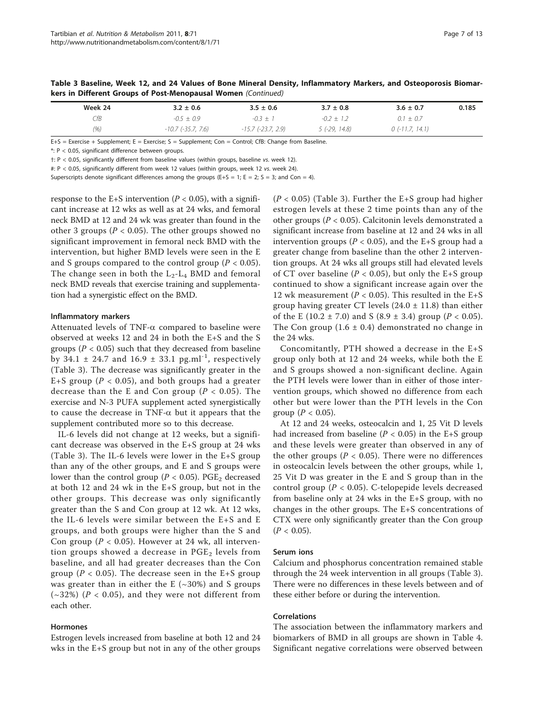| Week 24 | $3.2 \pm 0.6$        | $3.5 \pm 0.6$        | $3.7 \pm 0.8$  | $3.6 \pm 0.7$     | 0.185 |
|---------|----------------------|----------------------|----------------|-------------------|-------|
| СfВ     | $-0.5 + 0.9$         | $-0.3 + 1$           | $-0.2 + 1.2$   | $0.1 \pm 0.7$     |       |
| (% )    | $-10.7$ (-35.7, 7.6) | $-15.7$ (-23.7, 2.9) | $5(-29, 14.8)$ | $0$ (-11.7, 14.1) |       |

Table 3 Baseline, Week 12, and 24 Values of Bone Mineral Density, Inflammatory Markers, and Osteoporosis Biomarkers in Different Groups of Post-Menopausal Women (Continued)

E+S = Exercise + Supplement; E = Exercise; S = Supplement; Con = Control; CfB: Change from Baseline.

\*: P < 0.05, significant difference between groups.

†: P < 0.05, significantly different from baseline values (within groups, baseline vs. week 12).

#: P < 0.05, significantly different from week 12 values (within groups, week 12 vs. week 24).

Superscripts denote significant differences among the groups (E+S = 1; E = 2; S = 3; and Con = 4).

response to the E+S intervention ( $P < 0.05$ ), with a significant increase at 12 wks as well as at 24 wks, and femoral neck BMD at 12 and 24 wk was greater than found in the other 3 groups ( $P < 0.05$ ). The other groups showed no significant improvement in femoral neck BMD with the intervention, but higher BMD levels were seen in the E and S groups compared to the control group ( $P < 0.05$ ). The change seen in both the  $L_2-L_4$  BMD and femoral neck BMD reveals that exercise training and supplementation had a synergistic effect on the BMD.

### Inflammatory markers

Attenuated levels of TNF- $\alpha$  compared to baseline were observed at weeks 12 and 24 in both the E+S and the S groups ( $P < 0.05$ ) such that they decreased from baseline by 34.1  $\pm$  24.7 and 16.9  $\pm$  33.1 pg.ml<sup>-1</sup>, respectively (Table [3](#page-4-0)). The decrease was significantly greater in the E+S group ( $P < 0.05$ ), and both groups had a greater decrease than the E and Con group ( $P < 0.05$ ). The exercise and N-3 PUFA supplement acted synergistically to cause the decrease in TNF- $\alpha$  but it appears that the supplement contributed more so to this decrease.

IL-6 levels did not change at 12 weeks, but a significant decrease was observed in the E+S group at 24 wks (Table [3\)](#page-4-0). The IL-6 levels were lower in the E+S group than any of the other groups, and E and S groups were lower than the control group ( $P < 0.05$ ). PGE<sub>2</sub> decreased at both 12 and 24 wk in the E+S group, but not in the other groups. This decrease was only significantly greater than the S and Con group at 12 wk. At 12 wks, the IL-6 levels were similar between the E+S and E groups, and both groups were higher than the S and Con group ( $P < 0.05$ ). However at 24 wk, all intervention groups showed a decrease in  $PGE<sub>2</sub>$  levels from baseline, and all had greater decreases than the Con group ( $P < 0.05$ ). The decrease seen in the E+S group was greater than in either the E  $(-30%)$  and S groups  $(\sim 32\%)$  (P < 0.05), and they were not different from each other.

# Hormones

Estrogen levels increased from baseline at both 12 and 24 wks in the E+S group but not in any of the other groups

 $(P < 0.05)$  (Table [3\)](#page-4-0). Further the E+S group had higher estrogen levels at these 2 time points than any of the other groups ( $P < 0.05$ ). Calcitonin levels demonstrated a significant increase from baseline at 12 and 24 wks in all intervention groups ( $P < 0.05$ ), and the E+S group had a greater change from baseline than the other 2 intervention groups. At 24 wks all groups still had elevated levels of CT over baseline ( $P < 0.05$ ), but only the E+S group continued to show a significant increase again over the 12 wk measurement ( $P < 0.05$ ). This resulted in the E+S group having greater CT levels  $(24.0 \pm 11.8)$  than either of the E (10.2  $\pm$  7.0) and S (8.9  $\pm$  3.4) group (P < 0.05). The Con group  $(1.6 \pm 0.4)$  demonstrated no change in the 24 wks.

Concomitantly, PTH showed a decrease in the E+S group only both at 12 and 24 weeks, while both the E and S groups showed a non-significant decline. Again the PTH levels were lower than in either of those intervention groups, which showed no difference from each other but were lower than the PTH levels in the Con group  $(P < 0.05)$ .

At 12 and 24 weeks, osteocalcin and 1, 25 Vit D levels had increased from baseline ( $P < 0.05$ ) in the E+S group and these levels were greater than observed in any of the other groups ( $P < 0.05$ ). There were no differences in osteocalcin levels between the other groups, while 1, 25 Vit D was greater in the E and S group than in the control group ( $P < 0.05$ ). C-telopepide levels decreased from baseline only at 24 wks in the E+S group, with no changes in the other groups. The E+S concentrations of CTX were only significantly greater than the Con group  $(P < 0.05)$ .

#### Serum ions

Calcium and phosphorus concentration remained stable through the 24 week intervention in all groups (Table [3](#page-4-0)). There were no differences in these levels between and of these either before or during the intervention.

#### Correlations

The association between the inflammatory markers and biomarkers of BMD in all groups are shown in Table [4](#page-7-0). Significant negative correlations were observed between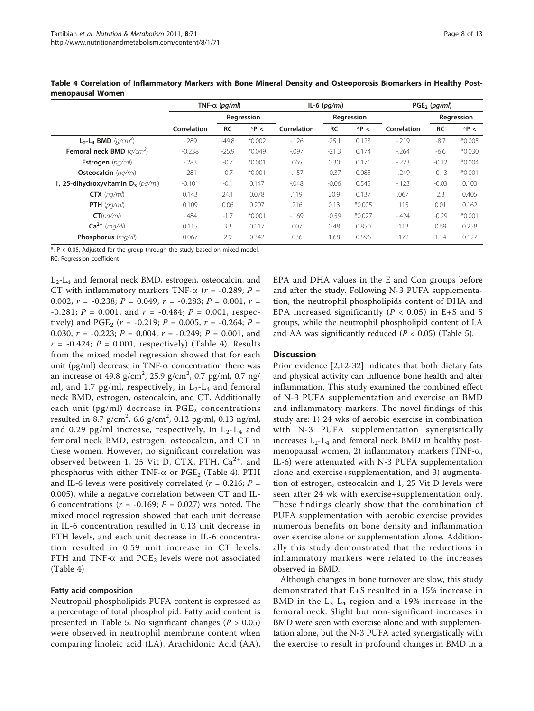|                                      | TNF- $\alpha$ (pq/ml) |           |            | $IL-6$ ( $pq/ml$ ) |            |          | $PGE_2$ (pg/ml) |           |            |  |
|--------------------------------------|-----------------------|-----------|------------|--------------------|------------|----------|-----------------|-----------|------------|--|
|                                      |                       |           | Regression |                    | Regression |          |                 |           | Regression |  |
|                                      | Correlation           | <b>RC</b> | $*P <$     | Correlation        | <b>RC</b>  | $*P <$   | Correlation     | <b>RC</b> | $*P <$     |  |
| $L_2$ - $L_4$ BMD ( $q/cm^2$ )       | $-289$                | $-49.8$   | $*0.002$   | $-126$             | $-25.1$    | 0.123    | $-219$          | $-8.7$    | $*0.005$   |  |
| Femoral neck BMD $(q/cm2)$           | $-0.238$              | $-25.9$   | $*0.049$   | $-0.097$           | $-21.3$    | 0.174    | $-264$          | $-6.6$    | $*0.030$   |  |
| Estrogen $\langle pq/ml \rangle$     | $-283$                | $-0.7$    | $*0.001$   | .065               | 0.30       | 0.171    | $-223$          | $-0.12$   | $*0.004$   |  |
| Osteocalcin (ng/ml)                  | $-281$                | $-0.7$    | $*0.001$   | $-157$             | $-0.37$    | 0.085    | $-249$          | $-0.13$   | $*0.001$   |  |
| 1, 25-dihydroxyvitamin $D_3$ (pg/ml) | $-0.101$              | $-0.1$    | 0.147      | $-0.048$           | $-0.06$    | 0.545    | $-123$          | $-0.03$   | 0.103      |  |
| $CTX$ (ng/ml)                        | 0.143                 | 24.1      | 0.078      | .119               | 20.9       | 0.137    | .067            | 2.3       | 0.405      |  |
| <b>PTH</b> $\langle pq/ml \rangle$   | 0.109                 | 0.06      | 0.207      | .216               | 0.13       | $*0.005$ | .115            | 0.01      | 0.162      |  |
| CT(pq/ml)                            | $-484$                | $-1.7$    | $*0.001$   | $-169$             | $-0.59$    | $*0.027$ | $-424$          | $-0.29$   | $*0.001$   |  |
| $Ca2+$ (mg/dl)                       | 0.115                 | 3.3       | 0.117      | .007               | 0.48       | 0.850    | .113            | 0.69      | 0.258      |  |
| Phosphorus (mg/dl)                   | 0.067                 | 2.9       | 0.342      | .036               | 1.68       | 0.596    | .172            | 1.34      | 0.127      |  |

<span id="page-7-0"></span>Table 4 Correlation of Inflammatory Markers with Bone Mineral Density and Osteoporosis Biomarkers in Healthy Postmenopausal Women

\*: P < 0.05, Adjusted for the group through the study based on mixed model.

RC: Regression coefficient

 $L_2$ - $L_4$  and femoral neck BMD, estrogen, osteocalcin, and CT with inflammatory markers TNF- $\alpha$  ( $r = -0.289$ ; P = 0.002,  $r = -0.238$ ;  $P = 0.049$ ,  $r = -0.283$ ;  $P = 0.001$ ,  $r =$  $-0.281$ ;  $P = 0.001$ , and  $r = -0.484$ ;  $P = 0.001$ , respectively) and PGE<sub>2</sub> ( $r = -0.219$ ;  $P = 0.005$ ,  $r = -0.264$ ;  $P =$ 0.030,  $r = -0.223$ ;  $P = 0.004$ ,  $r = -0.249$ ;  $P = 0.001$ , and  $r = -0.424$ ;  $P = 0.001$ , respectively) (Table 4). Results from the mixed model regression showed that for each unit (pg/ml) decrease in TNF- $\alpha$  concentration there was an increase of 49.8  $g/cm^2$ , 25.9  $g/cm^2$ , 0.7 pg/ml, 0.7 ng/ ml, and 1.7 pg/ml, respectively, in  $L_2-L_4$  and femoral neck BMD, estrogen, osteocalcin, and CT. Additionally each unit (pg/ml) decrease in  $PGE<sub>2</sub>$  concentrations resulted in 8.7  $\rm g/cm^2$ , 6.6  $\rm g/cm^2$ , 0.12  $\rm pg/ml$ , 0.13  $\rm ng/ml$ , and 0.29 pg/ml increase, respectively, in  $L_2-L_4$  and femoral neck BMD, estrogen, osteocalcin, and CT in these women. However, no significant correlation was observed between 1, 25 Vit D, CTX, PTH,  $Ca^{2+}$ , and phosphorus with either TNF- $\alpha$  or PGE<sub>2</sub> (Table 4). PTH and IL-6 levels were positively correlated ( $r = 0.216$ ;  $P =$ 0.005), while a negative correlation between CT and IL-6 concentrations ( $r = -0.169$ ;  $P = 0.027$ ) was noted. The mixed model regression showed that each unit decrease in IL-6 concentration resulted in 0.13 unit decrease in PTH levels, and each unit decrease in IL-6 concentration resulted in 0.59 unit increase in CT levels. PTH and TNF- $\alpha$  and PGE<sub>2</sub> levels were not associated (Table 4).

# Fatty acid composition

Neutrophil phospholipids PUFA content is expressed as a percentage of total phospholipid. Fatty acid content is presented in Table [5](#page-8-0). No significant changes ( $P > 0.05$ ) were observed in neutrophil membrane content when comparing linoleic acid (LA), Arachidonic Acid (AA), EPA and DHA values in the E and Con groups before and after the study. Following N-3 PUFA supplementation, the neutrophil phospholipids content of DHA and EPA increased significantly ( $P < 0.05$ ) in E+S and S groups, while the neutrophil phospholipid content of LA and AA was significantly reduced ( $P < 0.05$ ) (Table [5](#page-8-0)).

## **Discussion**

Prior evidence [[2,12](#page-11-0)-[32\]](#page-11-0) indicates that both dietary fats and physical activity can influence bone health and alter inflammation. This study examined the combined effect of N-3 PUFA supplementation and exercise on BMD and inflammatory markers. The novel findings of this study are: 1) 24 wks of aerobic exercise in combination with N-3 PUFA supplementation synergistically increases  $L_2$ - $L_4$  and femoral neck BMD in healthy postmenopausal women, 2) inflammatory markers (TNF- $\alpha$ , IL-6) were attenuated with N-3 PUFA supplementation alone and exercise+supplementation, and 3) augmentation of estrogen, osteocalcin and 1, 25 Vit D levels were seen after 24 wk with exercise+supplementation only. These findings clearly show that the combination of PUFA supplementation with aerobic exercise provides numerous benefits on bone density and inflammation over exercise alone or supplementation alone. Additionally this study demonstrated that the reductions in inflammatory markers were related to the increases observed in BMD.

Although changes in bone turnover are slow, this study demonstrated that E+S resulted in a 15% increase in BMD in the  $L_2-L_4$  region and a 19% increase in the femoral neck. Slight but non-significant increases in BMD were seen with exercise alone and with supplementation alone, but the N-3 PUFA acted synergistically with the exercise to result in profound changes in BMD in a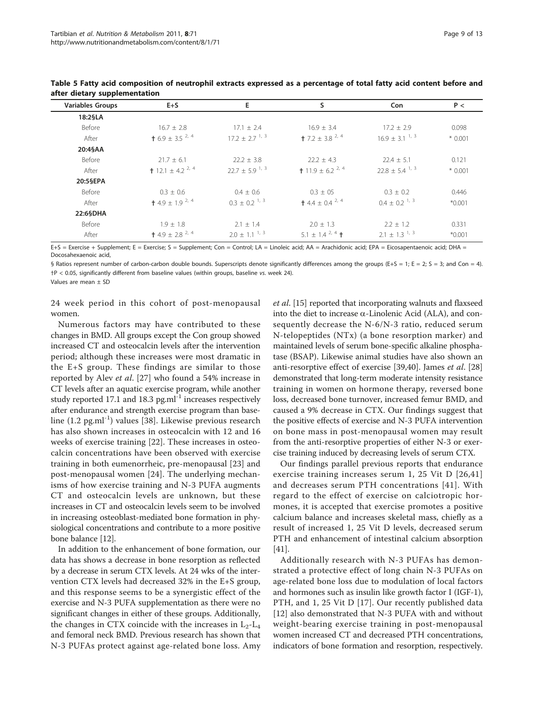| <b>Variables Groups</b> | $E + S$                            | E.                             | s                                   | Con                | P <      |
|-------------------------|------------------------------------|--------------------------------|-------------------------------------|--------------------|----------|
| 18:2§LA                 |                                    |                                |                                     |                    |          |
| Before                  | $16.7 \pm 2.8$                     | $17.1 \pm 2.4$                 | $16.9 \pm 3.4$                      | $17.2 \pm 2.9$     | 0.098    |
| After                   | <b>†</b> 6.9 ± 3.5 <sup>2, 4</sup> | $17.2 \pm 2.7$ <sup>1, 3</sup> | $+ 7.2 \pm 3.8^{2.4}$               | $16.9 + 3.1^{1,3}$ | $*0.001$ |
| 20:4§AA                 |                                    |                                |                                     |                    |          |
| Before                  | $21.7 \pm 6.1$                     | $22.2 \pm 3.8$                 | $22.2 + 4.3$                        | $22.4 \pm 5.1$     | 0.121    |
| After                   | <b>†</b> 12.1 ± 4.2 $^{2,4}$       | $22.7 \pm 5.9$ <sup>1, 3</sup> | <b>t</b> 11.9 ± 6.2 <sup>2, 4</sup> | $22.8 + 5.4^{1,3}$ | $*0.001$ |
| 20:5§EPA                |                                    |                                |                                     |                    |          |
| Before                  | $0.3 \pm 0.6$                      | $0.4 + 0.6$                    | $0.3 \pm 0.5$                       | $0.3 \pm 0.2$      | 0.446    |
| After                   | $+4.9 \pm 1.9^{2.4}$               | $0.3 + 0.2^{1.3}$              | $+4.4 \pm 0.4^{2,4}$                | $0.4 + 0.2^{1.3}$  | $*0.001$ |
| 22:6§DHA                |                                    |                                |                                     |                    |          |
| Before                  | $1.9 \pm 1.8$                      | $2.1 + 1.4$                    | $2.0 \pm 1.3$                       | $2.2 + 1.2$        | 0.331    |
| After                   | $+4.9 + 2.8^{2,4}$                 | $2.0 + 1.1^{1.3}$              | $5.1 + 1.4^{2.4}$ +                 | $2.1 + 1.3^{1.3}$  | $*0.001$ |

<span id="page-8-0"></span>Table 5 Fatty acid composition of neutrophil extracts expressed as a percentage of total fatty acid content before and after dietary supplementation

E+S = Exercise + Supplement; E = Exercise; S = Supplement; Con = Control; LA = Linoleic acid; AA = Arachidonic acid; EPA = Eicosapentaenoic acid; DHA = Docosahexaenoic acid,

§ Ratios represent number of carbon-carbon double bounds. Superscripts denote significantly differences among the groups (E+S = 1; E = 2; S = 3; and Con = 4). †P < 0.05, significantly different from baseline values (within groups, baseline vs. week 24).

Values are mean ± SD

24 week period in this cohort of post-menopausal women.

Numerous factors may have contributed to these changes in BMD. All groups except the Con group showed increased CT and osteocalcin levels after the intervention period; although these increases were most dramatic in the E+S group. These findings are similar to those reported by Alev et al. [[27\]](#page-11-0) who found a 54% increase in CT levels after an aquatic exercise program, while another study reported 17.1 and 18.3 pg.ml<sup>-1</sup> increases respectively after endurance and strength exercise program than base-line (1.2 pg.ml<sup>-1</sup>) values [[38\]](#page-11-0). Likewise previous research has also shown increases in osteocalcin with 12 and 16 weeks of exercise training [[22\]](#page-11-0). These increases in osteocalcin concentrations have been observed with exercise training in both eumenorrheic, pre-menopausal [\[23](#page-11-0)] and post-menopausal women [[24](#page-11-0)]. The underlying mechanisms of how exercise training and N-3 PUFA augments CT and osteocalcin levels are unknown, but these increases in CT and osteocalcin levels seem to be involved in increasing osteoblast-mediated bone formation in physiological concentrations and contribute to a more positive bone balance [[12](#page-11-0)].

In addition to the enhancement of bone formation, our data has shows a decrease in bone resorption as reflected by a decrease in serum CTX levels. At 24 wks of the intervention CTX levels had decreased 32% in the E+S group, and this response seems to be a synergistic effect of the exercise and N-3 PUFA supplementation as there were no significant changes in either of these groups. Additionally, the changes in CTX coincide with the increases in  $L_2-L_4$ and femoral neck BMD. Previous research has shown that N-3 PUFAs protect against age-related bone loss. Amy et al. [[15](#page-11-0)] reported that incorporating walnuts and flaxseed into the diet to increase  $\alpha$ -Linolenic Acid (ALA), and consequently decrease the N-6/N-3 ratio, reduced serum N-telopeptides (NTx) (a bone resorption marker) and maintained levels of serum bone-specific alkaline phosphatase (BSAP). Likewise animal studies have also shown an anti-resorptive effect of exercise [\[39,40\]](#page-11-0). James et al. [[28](#page-11-0)] demonstrated that long-term moderate intensity resistance training in women on hormone therapy, reversed bone loss, decreased bone turnover, increased femur BMD, and caused a 9% decrease in CTX. Our findings suggest that the positive effects of exercise and N-3 PUFA intervention on bone mass in post-menopausal women may result from the anti-resorptive properties of either N-3 or exercise training induced by decreasing levels of serum CTX.

Our findings parallel previous reports that endurance exercise training increases serum 1, 25 Vit D [[26,41](#page-11-0)] and decreases serum PTH concentrations [[41](#page-11-0)]. With regard to the effect of exercise on calciotropic hormones, it is accepted that exercise promotes a positive calcium balance and increases skeletal mass, chiefly as a result of increased 1, 25 Vit D levels, decreased serum PTH and enhancement of intestinal calcium absorption [[41\]](#page-11-0).

Additionally research with N-3 PUFAs has demonstrated a protective effect of long chain N-3 PUFAs on age-related bone loss due to modulation of local factors and hormones such as insulin like growth factor I (IGF-1), PTH, and 1, 25 Vit D [[17\]](#page-11-0). Our recently published data [[12\]](#page-11-0) also demonstrated that N-3 PUFA with and without weight-bearing exercise training in post-menopausal women increased CT and decreased PTH concentrations, indicators of bone formation and resorption, respectively.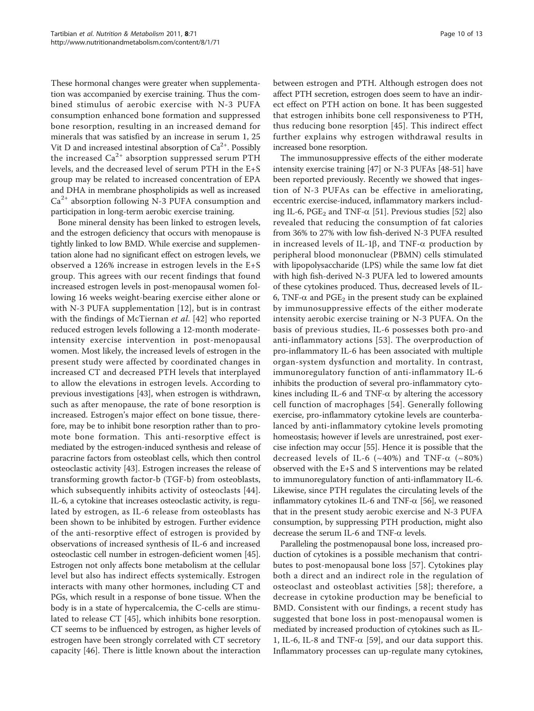These hormonal changes were greater when supplementation was accompanied by exercise training. Thus the combined stimulus of aerobic exercise with N-3 PUFA consumption enhanced bone formation and suppressed bone resorption, resulting in an increased demand for minerals that was satisfied by an increase in serum 1, 25 Vit D and increased intestinal absorption of  $Ca^{2+}$ . Possibly the increased  $Ca^{2+}$  absorption suppressed serum PTH levels, and the decreased level of serum PTH in the E+S group may be related to increased concentration of EPA and DHA in membrane phospholipids as well as increased  $Ca<sup>2+</sup>$  absorption following N-3 PUFA consumption and participation in long-term aerobic exercise training.

Bone mineral density has been linked to estrogen levels, and the estrogen deficiency that occurs with menopause is tightly linked to low BMD. While exercise and supplementation alone had no significant effect on estrogen levels, we observed a 126% increase in estrogen levels in the E+S group. This agrees with our recent findings that found increased estrogen levels in post-menopausal women following 16 weeks weight-bearing exercise either alone or with N-3 PUFA supplementation [[12\]](#page-11-0), but is in contrast with the findings of McTiernan *et al.* [\[42](#page-11-0)] who reported reduced estrogen levels following a 12-month moderateintensity exercise intervention in post-menopausal women. Most likely, the increased levels of estrogen in the present study were affected by coordinated changes in increased CT and decreased PTH levels that interplayed to allow the elevations in estrogen levels. According to previous investigations [[43](#page-11-0)], when estrogen is withdrawn, such as after menopause, the rate of bone resorption is increased. Estrogen's major effect on bone tissue, therefore, may be to inhibit bone resorption rather than to promote bone formation. This anti-resorptive effect is mediated by the estrogen-induced synthesis and release of paracrine factors from osteoblast cells, which then control osteoclastic activity [[43\]](#page-11-0). Estrogen increases the release of transforming growth factor-b (TGF-b) from osteoblasts, which subsequently inhibits activity of osteoclasts [[44](#page-11-0)]. IL-6, a cytokine that increases osteoclastic activity, is regulated by estrogen, as IL-6 release from osteoblasts has been shown to be inhibited by estrogen. Further evidence of the anti-resorptive effect of estrogen is provided by observations of increased synthesis of IL-6 and increased osteoclastic cell number in estrogen-deficient women [[45](#page-11-0)]. Estrogen not only affects bone metabolism at the cellular level but also has indirect effects systemically. Estrogen interacts with many other hormones, including CT and PGs, which result in a response of bone tissue. When the body is in a state of hypercalcemia, the C-cells are stimulated to release CT [[45\]](#page-11-0), which inhibits bone resorption. CT seems to be influenced by estrogen, as higher levels of estrogen have been strongly correlated with CT secretory capacity [\[46\]](#page-12-0). There is little known about the interaction between estrogen and PTH. Although estrogen does not affect PTH secretion, estrogen does seem to have an indirect effect on PTH action on bone. It has been suggested that estrogen inhibits bone cell responsiveness to PTH, thus reducing bone resorption [\[45\]](#page-11-0). This indirect effect further explains why estrogen withdrawal results in increased bone resorption.

The immunosuppressive effects of the either moderate intensity exercise training [[47](#page-12-0)] or N-3 PUFAs [[48](#page-12-0)-[51](#page-12-0)] have been reported previously. Recently we showed that ingestion of N-3 PUFAs can be effective in ameliorating, eccentric exercise-induced, inflammatory markers including IL-6, PGE<sub>2</sub> and TNF- $\alpha$  [[51](#page-12-0)]. Previous studies [\[52](#page-12-0)] also revealed that reducing the consumption of fat calories from 36% to 27% with low fish-derived N-3 PUFA resulted in increased levels of IL-1 $\beta$ , and TNF- $\alpha$  production by peripheral blood mononuclear (PBMN) cells stimulated with lipopolysaccharide (LPS) while the same low fat diet with high fish-derived N-3 PUFA led to lowered amounts of these cytokines produced. Thus, decreased levels of IL-6, TNF- $\alpha$  and PGE<sub>2</sub> in the present study can be explained by immunosuppressive effects of the either moderate intensity aerobic exercise training or N-3 PUFA. On the basis of previous studies, IL-6 possesses both pro-and anti-inflammatory actions [\[53\]](#page-12-0). The overproduction of pro-inflammatory IL-6 has been associated with multiple organ-system dysfunction and mortality. In contrast, immunoregulatory function of anti-inflammatory IL-6 inhibits the production of several pro-inflammatory cytokines including IL-6 and TNF- $\alpha$  by altering the accessory cell function of macrophages [[54](#page-12-0)]. Generally following exercise, pro-inflammatory cytokine levels are counterbalanced by anti-inflammatory cytokine levels promoting homeostasis; however if levels are unrestrained, post exercise infection may occur [[55](#page-12-0)]. Hence it is possible that the decreased levels of IL-6 ( $\sim$ 40%) and TNF- $\alpha$  ( $\sim$ 80%) observed with the E+S and S interventions may be related to immunoregulatory function of anti-inflammatory IL-6. Likewise, since PTH regulates the circulating levels of the inflammatory cytokines IL-6 and TNF- $\alpha$  [[56](#page-12-0)], we reasoned that in the present study aerobic exercise and N-3 PUFA consumption, by suppressing PTH production, might also decrease the serum IL-6 and TNF- $\alpha$  levels.

Paralleling the postmenopausal bone loss, increased production of cytokines is a possible mechanism that contributes to post-menopausal bone loss [[57\]](#page-12-0). Cytokines play both a direct and an indirect role in the regulation of osteoclast and osteoblast activities [[58\]](#page-12-0); therefore, a decrease in cytokine production may be beneficial to BMD. Consistent with our findings, a recent study has suggested that bone loss in post-menopausal women is mediated by increased production of cytokines such as IL-1, IL-6, IL-8 and TNF- $\alpha$  [[59\]](#page-12-0), and our data support this. Inflammatory processes can up-regulate many cytokines,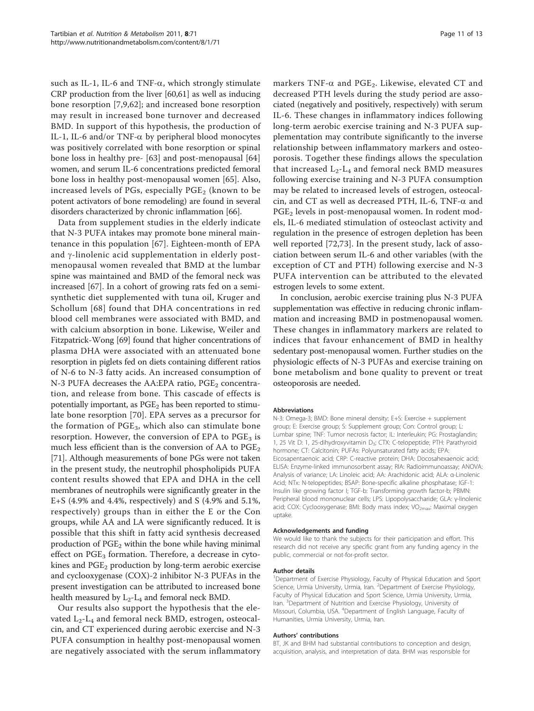such as IL-1, IL-6 and TNF- $\alpha$ , which strongly stimulate CRP production from the liver [[60](#page-12-0),[61](#page-12-0)] as well as inducing bone resorption [[7,9](#page-11-0)[,62\]](#page-12-0); and increased bone resorption may result in increased bone turnover and decreased BMD. In support of this hypothesis, the production of IL-1, IL-6 and/or TNF- $\alpha$  by peripheral blood monocytes was positively correlated with bone resorption or spinal bone loss in healthy pre- [[63](#page-12-0)] and post-menopausal [\[64](#page-12-0)] women, and serum IL-6 concentrations predicted femoral bone loss in healthy post-menopausal women [[65](#page-12-0)]. Also, increased levels of PGs, especially  $PGE_2$  (known to be potent activators of bone remodeling) are found in several disorders characterized by chronic inflammation [\[66\]](#page-12-0).

Data from supplement studies in the elderly indicate that N-3 PUFA intakes may promote bone mineral maintenance in this population [\[67](#page-12-0)]. Eighteen-month of EPA and  $\gamma$ -linolenic acid supplementation in elderly postmenopausal women revealed that BMD at the lumbar spine was maintained and BMD of the femoral neck was increased [[67\]](#page-12-0). In a cohort of growing rats fed on a semisynthetic diet supplemented with tuna oil, Kruger and Schollum [\[68\]](#page-12-0) found that DHA concentrations in red blood cell membranes were associated with BMD, and with calcium absorption in bone. Likewise, Weiler and Fitzpatrick-Wong [\[69\]](#page-12-0) found that higher concentrations of plasma DHA were associated with an attenuated bone resorption in piglets fed on diets containing different ratios of N-6 to N-3 fatty acids. An increased consumption of N-3 PUFA decreases the AA:EPA ratio,  $PGE_2$  concentration, and release from bone. This cascade of effects is potentially important, as  $PGE<sub>2</sub>$  has been reported to stimulate bone resorption [[70](#page-12-0)]. EPA serves as a precursor for the formation of  $PGE_3$ , which also can stimulate bone resorption. However, the conversion of EPA to  $PGE<sub>3</sub>$  is much less efficient than is the conversion of AA to  $PGE_2$ [[71](#page-12-0)]. Although measurements of bone PGs were not taken in the present study, the neutrophil phospholipids PUFA content results showed that EPA and DHA in the cell membranes of neutrophils were significantly greater in the E+S (4.9% and 4.4%, respectively) and S (4.9% and 5.1%, respectively) groups than in either the E or the Con groups, while AA and LA were significantly reduced. It is possible that this shift in fatty acid synthesis decreased production of  $PGE_2$  within the bone while having minimal effect on  $PGE_3$  formation. Therefore, a decrease in cytokines and  $PGE<sub>2</sub>$  production by long-term aerobic exercise and cyclooxygenase (COX)-2 inhibitor N-3 PUFAs in the present investigation can be attributed to increased bone health measured by  $L_2$ - $L_4$  and femoral neck BMD.

Our results also support the hypothesis that the elevated L<sub>2</sub>-L<sub>4</sub> and femoral neck BMD, estrogen, osteocalcin, and CT experienced during aerobic exercise and N-3 PUFA consumption in healthy post-menopausal women are negatively associated with the serum inflammatory

markers TNF- $\alpha$  and PGE<sub>2</sub>. Likewise, elevated CT and decreased PTH levels during the study period are associated (negatively and positively, respectively) with serum IL-6. These changes in inflammatory indices following long-term aerobic exercise training and N-3 PUFA supplementation may contribute significantly to the inverse relationship between inflammatory markers and osteoporosis. Together these findings allows the speculation that increased  $L_2-L_4$  and femoral neck BMD measures following exercise training and N-3 PUFA consumption may be related to increased levels of estrogen, osteocalcin, and CT as well as decreased PTH, IL-6, TNF- $\alpha$  and PGE<sub>2</sub> levels in post-menopausal women. In rodent models, IL-6 mediated stimulation of osteoclast activity and regulation in the presence of estrogen depletion has been well reported [\[72](#page-12-0),[73\]](#page-12-0). In the present study, lack of association between serum IL-6 and other variables (with the exception of CT and PTH) following exercise and N-3 PUFA intervention can be attributed to the elevated estrogen levels to some extent.

In conclusion, aerobic exercise training plus N-3 PUFA supplementation was effective in reducing chronic inflammation and increasing BMD in postmenopausal women. These changes in inflammatory markers are related to indices that favour enhancement of BMD in healthy sedentary post-menopausal women. Further studies on the physiologic effects of N-3 PUFAs and exercise training on bone metabolism and bone quality to prevent or treat osteoporosis are needed.

#### Abbreviations

N-3: Omega-3; BMD: Bone mineral density; E+S: Exercise + supplement group; E: Exercise group; S: Supplement group; Con: Control group; L: Lumbar spine; TNF: Tumor necrosis factor; IL: Interleukin; PG: Prostaglandin; 1, 25 Vit D: 1, 25-dihydroxyvitamin D<sub>3</sub>; CTX: C-telopeptide; PTH: Parathyroid hormone; CT: Calcitonin; PUFAs: Polyunsaturated fatty acids; EPA: Eicosapentaenoic acid; CRP: C-reactive protein; DHA: Docosahexaenoic acid; ELISA: Enzyme-linked immunosorbent assay; RIA: Radioimmunoassay; ANOVA: Analysis of variance; LA: Linoleic acid; AA: Arachidonic acid; ALA: α-Linolenic Acid; NTx: N-telopeptides; BSAP: Bone-specific alkaline phosphatase; IGF-1: Insulin like growing factor I; TGF-b: Transforming growth factor-b; PBMN: Peripheral blood mononuclear cells; LPS: Lipopolysaccharide; GLA: γ-linolenic acid; COX: Cyclooxygenase; BMI: Body mass index; VO<sub>2max</sub>: Maximal oxygen uptake.

#### Acknowledgements and funding

We would like to thank the subjects for their participation and effort. This research did not receive any specific grant from any funding agency in the public, commercial or not-for-profit sector.

#### Author details

<sup>1</sup>Department of Exercise Physiology, Faculty of Physical Education and Sport Science, Urmia University, Urmia, Iran. <sup>2</sup>Department of Exercise Physiology Faculty of Physical Education and Sport Science, Urmia University, Urmia, Iran. <sup>3</sup>Department of Nutrition and Exercise Physiology, University of Missouri, Columbia, USA. <sup>4</sup> Department of English Language, Faculty of Humanities, Urmia University, Urmia, Iran.

#### Authors' contributions

BT, JK and BHM had substantial contributions to conception and design, acquisition, analysis, and interpretation of data. BHM was responsible for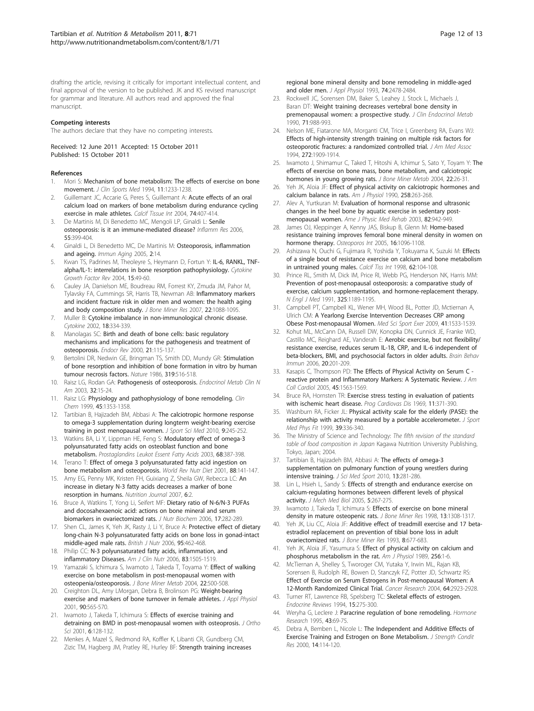<span id="page-11-0"></span>drafting the article, revising it critically for important intellectual content, and final approval of the version to be published. JK and KS revised manuscript for grammar and literature. All authors read and approved the final manuscript.

#### Competing interests

The authors declare that they have no competing interests.

Received: 12 June 2011 Accepted: 15 October 2011 Published: 15 October 2011

#### References

- 1. Mori S: Mechanism of bone metabolism: The effects of exercise on bone movement. J Clin Sports Med 1994, 11:1233-1238.
- Guillemant JC, Accarie G, Peres S, Guillemant A: [Acute effects of an oral](http://www.ncbi.nlm.nih.gov/pubmed/14735261?dopt=Abstract) [calcium load on markers of bone metabolism during endurance cycling](http://www.ncbi.nlm.nih.gov/pubmed/14735261?dopt=Abstract) [exercise in male athletes.](http://www.ncbi.nlm.nih.gov/pubmed/14735261?dopt=Abstract) Calcif Tissue Int 2004, 74:407-414.
- De Martinis M, Di Benedetto MC, Mengoli LP, Ginaldi L: [Senile](http://www.ncbi.nlm.nih.gov/pubmed/17109066?dopt=Abstract) [osteoporosis: is it an immune-mediated disease?](http://www.ncbi.nlm.nih.gov/pubmed/17109066?dopt=Abstract) Inflamm Res 2006, 55:399-404.
- 4. Ginaldi L, Di Benedetto MC, De Martinis M: Osteoporosis, inflammation and ageing. Immun Aging 2005, 2:14.
- 5. Kwan TS, Padrines M, Theoleyre S, Heymann D, Fortun Y: [IL-6, RANKL, TNF](http://www.ncbi.nlm.nih.gov/pubmed/14746813?dopt=Abstract)[alpha/IL-1: interrelations in bone resorption pathophysiology.](http://www.ncbi.nlm.nih.gov/pubmed/14746813?dopt=Abstract) Cytokine Growth Factor Rev 2004, 15:49-60.
- 6. Cauley JA, Danielson ME, Boudreau RM, Forrest KY, Zmuda JM, Pahor M, Tylavsky FA, Cummings SR, Harris TB, Newman AB: [Inflammatory markers](http://www.ncbi.nlm.nih.gov/pubmed/17419681?dopt=Abstract) [and incident fracture risk in older men and women: the health aging](http://www.ncbi.nlm.nih.gov/pubmed/17419681?dopt=Abstract) [and body composition study.](http://www.ncbi.nlm.nih.gov/pubmed/17419681?dopt=Abstract) J Bone Miner Res 2007, 22:1088-1095.
- 7. Muller B: [Cytokine imbalance in non-immunological chronic disease.](http://www.ncbi.nlm.nih.gov/pubmed/12160522?dopt=Abstract) Cytokine 2002, 18:334-339.
- 8. Manolagas SC: [Birth and death of bone cells: basic regulatory](http://www.ncbi.nlm.nih.gov/pubmed/10782361?dopt=Abstract) [mechanisms and implications for the pathogenesis and treatment of](http://www.ncbi.nlm.nih.gov/pubmed/10782361?dopt=Abstract) [osteoporosis.](http://www.ncbi.nlm.nih.gov/pubmed/10782361?dopt=Abstract) Endocr Rev 2000, 21:115-137.
- Bertolini DR, Nedwin GE, Bringman TS, Smith DD, Mundy GR: [Stimulation](http://www.ncbi.nlm.nih.gov/pubmed/3511389?dopt=Abstract) [of bone resorption and inhibition of bone formation in vitro by human](http://www.ncbi.nlm.nih.gov/pubmed/3511389?dopt=Abstract) [tumour necrosis factors.](http://www.ncbi.nlm.nih.gov/pubmed/3511389?dopt=Abstract) Nature 1986, 319:516-518.
- 10. Raisz LG, Rodan GA: Pathogenesis of osteoporosis. Endocrinol Metab Clin N Am 2003, 32:15-24.
- 11. Raisz LG: [Physiology and pathophysiology of bone remodeling.](http://www.ncbi.nlm.nih.gov/pubmed/10430818?dopt=Abstract) Clin Chem 1999, 45:1353-1358.
- 12. Tartibian B, Hajizadeh BM, Abbasi A: The calciotropic hormone response to omega-3 supplementation during longterm weight-bearing exercise training in post menopausal women. J Sport Sci Med 2010, 9:245-252.
- 13. Watkins BA, Li Y, Lippman HE, Feng S: [Modulatory effect of omega-3](http://www.ncbi.nlm.nih.gov/pubmed/12798659?dopt=Abstract) [polyunsaturated fatty acids on osteoblast function and bone](http://www.ncbi.nlm.nih.gov/pubmed/12798659?dopt=Abstract) [metabolism.](http://www.ncbi.nlm.nih.gov/pubmed/12798659?dopt=Abstract) Prostaglandins Leukot Essent Fatty Acids 2003, 68:387-398.
- 14. Terano T: [Effect of omega 3 polyunsaturated fatty acid ingestion on](http://www.ncbi.nlm.nih.gov/pubmed/11935946?dopt=Abstract) [bone metabolism and osteoporosis.](http://www.ncbi.nlm.nih.gov/pubmed/11935946?dopt=Abstract) World Rev Nutr Diet 2001, 88:141-147.
- 15. Amy EG, Penny MK, Kristen FH, Guixiang Z, Sheila GW, Rebecca LC: [An](http://www.ncbi.nlm.nih.gov/pubmed/17227589?dopt=Abstract) increase [in dietary N-3 fatty acids decreases a marker of bone](http://www.ncbi.nlm.nih.gov/pubmed/17227589?dopt=Abstract) [resorption in humans.](http://www.ncbi.nlm.nih.gov/pubmed/17227589?dopt=Abstract) Nutrition Journal 2007, 6:2.
- 16. Bruce A, Watkins T, Yong Li, Seifert MF: [Dietary ratio of N-6/N-3 PUFAs](http://www.ncbi.nlm.nih.gov/pubmed/16102959?dopt=Abstract) [and docosahexaenoic acid: actions on bone mineral and serum](http://www.ncbi.nlm.nih.gov/pubmed/16102959?dopt=Abstract) [biomarkers in ovariectomized rats.](http://www.ncbi.nlm.nih.gov/pubmed/16102959?dopt=Abstract) J Nutr Biochem 2006, 17:282-289.
- 17. Shen CL, James K, Yeh JK, Rasty J, Li Y, Bruce A: Protective effect of dietary long-chain N-3 polyunsaturated fatty acids on bone loss in gonad-intact middle-aged male rats. British J Nutr 2006, 95:462-468.
- 18. Philip CC: N-3 polyunsaturated fatty acids, inflammation, and inflammatory Diseases. Am J Clin Nutr 2006, 83:1505-1519.
- 19. Yamazaki S, Ichimura S, Iwamoto J, Takeda T, Toyama Y: [Effect of walking](http://www.ncbi.nlm.nih.gov/pubmed/15316873?dopt=Abstract) [exercise on bone metabolism in post-menopausal women with](http://www.ncbi.nlm.nih.gov/pubmed/15316873?dopt=Abstract) [osteopenia/osteoporosis.](http://www.ncbi.nlm.nih.gov/pubmed/15316873?dopt=Abstract) J Bone Miner Metab 2004, 22:500-508.
- 20. Creighton DL, Amy LMorgan, Debra B, Brolinson PG: [Weight-bearing](http://www.ncbi.nlm.nih.gov/pubmed/11160054?dopt=Abstract) [exercise and markers of bone turnover in female athletes.](http://www.ncbi.nlm.nih.gov/pubmed/11160054?dopt=Abstract) J Appl Physiol 2001, 90:565-570.
- 21. Iwamoto J, Takeda T, Ichimura S: Effects of exercise training and detraining on BMD in post-menopausal women with osteoprosis. J Ortho Sci 2001, 6:128-132.
- 22. Menkes A, Mazel S, Redmond RA, Koffler K, Libanti CR, Gundberg CM, Zizic TM, Hagberg JM, Pratley RE, Hurley BF: [Strength training increases](http://www.ncbi.nlm.nih.gov/pubmed/8335581?dopt=Abstract)

[regional bone mineral density and bone remodeling in middle-aged](http://www.ncbi.nlm.nih.gov/pubmed/8335581?dopt=Abstract) [and older men.](http://www.ncbi.nlm.nih.gov/pubmed/8335581?dopt=Abstract) J Appl Physiol 1993, 74:2478-2484.

- 23. Rockwell JC, Sorensen DM, Baker S, Leahey J, Stock L, Michaels J, Baran DT: [Weight training decreases vertebral bone density in](http://www.ncbi.nlm.nih.gov/pubmed/2401722?dopt=Abstract) [premenopausal women: a prospective study.](http://www.ncbi.nlm.nih.gov/pubmed/2401722?dopt=Abstract) J Clin Endocrinol Metab 1990, 71:988-993.
- 24. Nelson ME, Fiatarone MA, Morganti CM, Trice I, Greenberg RA, Evans WJ: Effects of high-intensity strength training on multiple risk factors for osteoporotic fractures: a randomized controlled trial. J Am Med Assoc 1994, 272:1909-1914.
- 25. Iwamoto J, Shimamur C, Taked T, Hitoshi A, Ichimur S, Sato Y, Toyam Y: [The](http://www.ncbi.nlm.nih.gov/pubmed/14691683?dopt=Abstract) [effects of exercise on bone mass, bone metabolism, and calciotropic](http://www.ncbi.nlm.nih.gov/pubmed/14691683?dopt=Abstract) [hormones in young growing rats.](http://www.ncbi.nlm.nih.gov/pubmed/14691683?dopt=Abstract) J Bone Miner Metab 2004, 22:26-31.
- 26. Yeh JK, Aloia JF: Effect of physical activity on calciotropic hormones and calcium balance in rats. Am J Physiol 1990, 258:263-268.
- 27. Alev A, Yurtkuran M: Evaluation of hormonal response and ultrasonic changes in the heel bone by aquatic exercise in sedentary postmenopausal women. Ame J Physic Med Rehab 2003, 82:942-949.
- James OJ, Kleppinger A, Kenny JAS, Biskup B, Glenn M: [Home-based](http://www.ncbi.nlm.nih.gov/pubmed/15754082?dopt=Abstract) [resistance training improves femoral bone mineral density in women on](http://www.ncbi.nlm.nih.gov/pubmed/15754082?dopt=Abstract) [hormone therapy.](http://www.ncbi.nlm.nih.gov/pubmed/15754082?dopt=Abstract) Osteoporos Int 2005, 16:1096-1108.
- 29. Ashizawa N, Ouchi G, Fujimara R, Yoshida Y, Tokuyama K, Suzuki M: Effects of a single bout of resistance exercise on calcium and bone metabolism in untrained young males. Calcif Tiss Int 1998, 62:104-108.
- 30. Prince RL, Smith M, Dick IM, Price RI, Webb PG, Henderson NK, Harris MM: [Prevention of post-menopausal osteoporosis: a comparative study of](http://www.ncbi.nlm.nih.gov/pubmed/1922205?dopt=Abstract) [exercise, calcium supplementation, and hormone-replacement therapy.](http://www.ncbi.nlm.nih.gov/pubmed/1922205?dopt=Abstract) N Engl J Med 1991, 325:1189-1195.
- 31. Campbell PT, Campbell KL, Wener MH, Wood BL, Potter JD, Mctiernan A, Ulrich CM: A Yearlong Exercise Intervention Decreases CRP among Obese Post-menopausal Women. Med Sci Sport Exer 2009, 41:1533-1539.
- 32. Kohut ML, McCann DA, Russell DW, Konopka DN, Cunnick JE, Franke WD, Castillo MC, Reighard AE, Vanderah E: [Aerobic exercise, but not flexibility/](http://www.ncbi.nlm.nih.gov/pubmed/16504463?dopt=Abstract) [resistance exercise, reduces serum IL-18, CRP, and IL-6 independent of](http://www.ncbi.nlm.nih.gov/pubmed/16504463?dopt=Abstract) [beta-blockers, BMI, and psychosocial factors in older adults.](http://www.ncbi.nlm.nih.gov/pubmed/16504463?dopt=Abstract) Brain Behav Immun 2006, 20:201-209.
- 33. Kasapis C, Thompson PD: [The Effects of Physical Activity on Serum C](http://www.ncbi.nlm.nih.gov/pubmed/15893167?dopt=Abstract)  [reactive protein and Inflammatory Markers: A Systematic Review.](http://www.ncbi.nlm.nih.gov/pubmed/15893167?dopt=Abstract) J Am Coll Cardiol 2005, 45:1563-1569.
- 34. Bruce RA, Hornsten TR: Exercise stress testing in evaluation of patients with ischemic heart disease. Prog Cardiovas Dis 1969, 11:371-390.
- 35. Washburn RA, Ficker JL: Physical activity scale for the elderly (PASE): the relationship with activity measured by a portable accelerometer. J Sport Med Phys Fit 1999, 39:336-340.
- 36. The Ministry of Science and Technology: The fifth revision of the standard table of food composition in Japan Kagawa Nutrition University Publishing, Tokyo, Japan; 2004.
- 37. Tartibian B, Hajizadeh BM, Abbasi A: [The effects of omega-3](http://www.ncbi.nlm.nih.gov/pubmed/19523875?dopt=Abstract) [supplementation on pulmonary function of young wrestlers during](http://www.ncbi.nlm.nih.gov/pubmed/19523875?dopt=Abstract) [intensive training.](http://www.ncbi.nlm.nih.gov/pubmed/19523875?dopt=Abstract) J Sci Med Sport 2010, 13:281-286.
- 38. Lin L, Hsieh L, Sandy S: Effects of strength and endurance exercise on calcium-regulating hormones between different levels of physical activity. J Mech Med Biol 2005, 5:267-275.
- 39. Iwamoto J, Takeda T, Ichimura S: [Effects of exercise on bone mineral](http://www.ncbi.nlm.nih.gov/pubmed/9718200?dopt=Abstract) [density in mature osteopenic rats.](http://www.ncbi.nlm.nih.gov/pubmed/9718200?dopt=Abstract) J Bone Miner Res 1998, 13:1308-1317.
- 40. Yeh JK, Liu CC, Aloia JF: [Additive effect of treadmill exercise and 17 beta](http://www.ncbi.nlm.nih.gov/pubmed/8328309?dopt=Abstract)[estradiol replacement on prevention of tibial bone loss in adult](http://www.ncbi.nlm.nih.gov/pubmed/8328309?dopt=Abstract) [ovariectomized rats.](http://www.ncbi.nlm.nih.gov/pubmed/8328309?dopt=Abstract) J Bone Miner Res 1993, 8:677-683.
- 41. Yeh JK, Aloia JF, Yasumura S: Effect of physical activity on calcium and phosphorus metabolism in the rat. Am J Physiol 1989, 256:1-6.
- 42. McTiernan A, Shelley S, Tworoger CM, Yutaka Y, Irwin ML, Rajan KB, Sorensen B, Rudolph RE, Bowen D, Stanczyk FZ, Potter JD, Schwartz RS: [Effect of Exercise on Serum Estrogens in Post-menopausal Women: A](http://www.ncbi.nlm.nih.gov/pubmed/15087413?dopt=Abstract) [12-Month Randomized Clinical Trial.](http://www.ncbi.nlm.nih.gov/pubmed/15087413?dopt=Abstract) Cancer Research 2004, 64:2923-2928.
- 43. Turner RT, Lawrence RB, Spelsberg TC: [Skeletal effects of estrogen.](http://www.ncbi.nlm.nih.gov/pubmed/8076582?dopt=Abstract) Endocrine Reviews 1994, 15:275-300.
- 44. Weryha G, Leclere J: [Paracrine regulation of bone remodeling.](http://www.ncbi.nlm.nih.gov/pubmed/7721265?dopt=Abstract) Hormone Research 1995, 43:69-75.
- 45. Debra A, Bemben L, Nicole L: The Independent and Additive Effects of Exercise Training and Estrogen on Bone Metabolism. J Strength Condit Res 2000, 14:114-120.